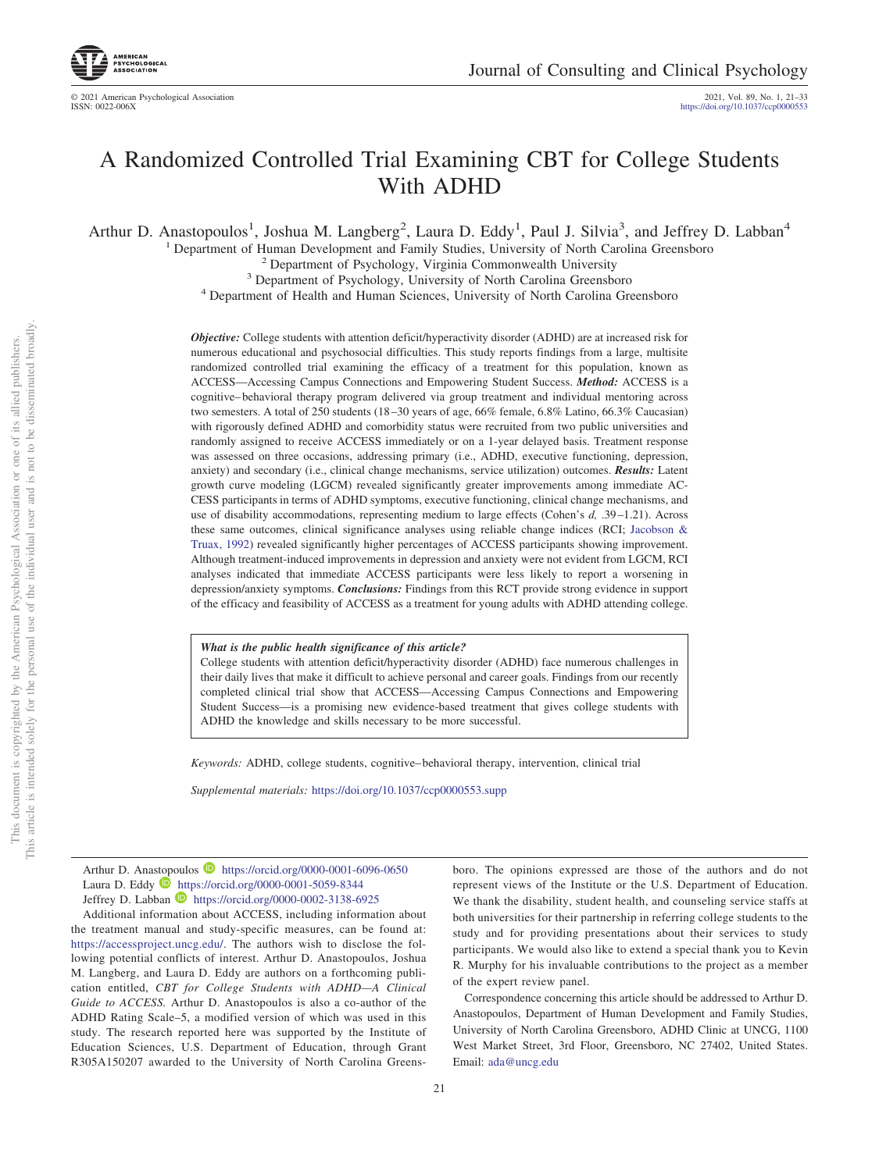# A Randomized Controlled Trial Examining CBT for College Students With ADHD

Arthur D. Anastopoulos<sup>1</sup>, Joshua M. Langberg<sup>2</sup>, Laura D. Eddy<sup>1</sup>, Paul J. Silvia<sup>3</sup>, and Jeffrey D. Labban<sup>4</sup>

<sup>1</sup> Department of Human Development and Family Studies, University of North Carolina Greensboro<sup>2</sup> Department of Psychology, Virginia Commonwealth University<sup>3</sup> Department of Psychology, University of North Carolina Green

*Objective:* College students with attention deficit/hyperactivity disorder (ADHD) are at increased risk for numerous educational and psychosocial difficulties. This study reports findings from a large, multisite randomized controlled trial examining the efficacy of a treatment for this population, known as ACCESS—Accessing Campus Connections and Empowering Student Success. *Method:* ACCESS is a cognitive– behavioral therapy program delivered via group treatment and individual mentoring across two semesters. A total of 250 students (18 –30 years of age, 66% female, 6.8% Latino, 66.3% Caucasian) with rigorously defined ADHD and comorbidity status were recruited from two public universities and randomly assigned to receive ACCESS immediately or on a 1-year delayed basis. Treatment response was assessed on three occasions, addressing primary (i.e., ADHD, executive functioning, depression, anxiety) and secondary (i.e., clinical change mechanisms, service utilization) outcomes. *Results:* Latent growth curve modeling (LGCM) revealed significantly greater improvements among immediate AC-CESS participants in terms of ADHD symptoms, executive functioning, clinical change mechanisms, and use of disability accommodations, representing medium to large effects (Cohen's *d,* .39 –1.21). Across these same outcomes, clinical significance analyses using reliable change indices (RCI; [Jacobson &](#page-11-0) [Truax, 1992\)](#page-11-0) revealed significantly higher percentages of ACCESS participants showing improvement. Although treatment-induced improvements in depression and anxiety were not evident from LGCM, RCI analyses indicated that immediate ACCESS participants were less likely to report a worsening in depression/anxiety symptoms. *Conclusions:* Findings from this RCT provide strong evidence in support of the efficacy and feasibility of ACCESS as a treatment for young adults with ADHD attending college.

#### *What is the public health significance of this article?*

College students with attention deficit/hyperactivity disorder (ADHD) face numerous challenges in their daily lives that make it difficult to achieve personal and career goals. Findings from our recently completed clinical trial show that ACCESS—Accessing Campus Connections and Empowering Student Success—is a promising new evidence-based treatment that gives college students with ADHD the knowledge and skills necessary to be more successful.

*Keywords:* ADHD, college students, cognitive– behavioral therapy, intervention, clinical trial

*Supplemental materials:* https://doi.org/10.1037/ccp0000553.supp

Arthur D. Anastopoulos **D** https://orcid.org/0000-0001-6096-0650 Laura D. Eddy **D** https://orcid.org/0000-0001-5059-8344 Jeffrey D. Labban **D** https://orcid.org/0000-0002-3138-6925

Additional information about ACCESS, including information about the treatment manual and study-specific measures, can be found at: [https://accessproject.uncg.edu/.](https://accessproject.uncg.edu/) The authors wish to disclose the following potential conflicts of interest. Arthur D. Anastopoulos, Joshua M. Langberg, and Laura D. Eddy are authors on a forthcoming publication entitled, *CBT for College Students with ADHD—A Clinical Guide to ACCESS.* Arthur D. Anastopoulos is also a co-author of the ADHD Rating Scale–5, a modified version of which was used in this study. The research reported here was supported by the Institute of Education Sciences, U.S. Department of Education, through Grant R305A150207 awarded to the University of North Carolina Greens-

boro. The opinions expressed are those of the authors and do not represent views of the Institute or the U.S. Department of Education. We thank the disability, student health, and counseling service staffs at both universities for their partnership in referring college students to the study and for providing presentations about their services to study participants. We would also like to extend a special thank you to Kevin R. Murphy for his invaluable contributions to the project as a member of the expert review panel.

Correspondence concerning this article should be addressed to Arthur D. Anastopoulos, Department of Human Development and Family Studies, University of North Carolina Greensboro, ADHD Clinic at UNCG, 1100 West Market Street, 3rd Floor, Greensboro, NC 27402, United States. Email: [ada@uncg.edu](mailto:ada@uncg.edu)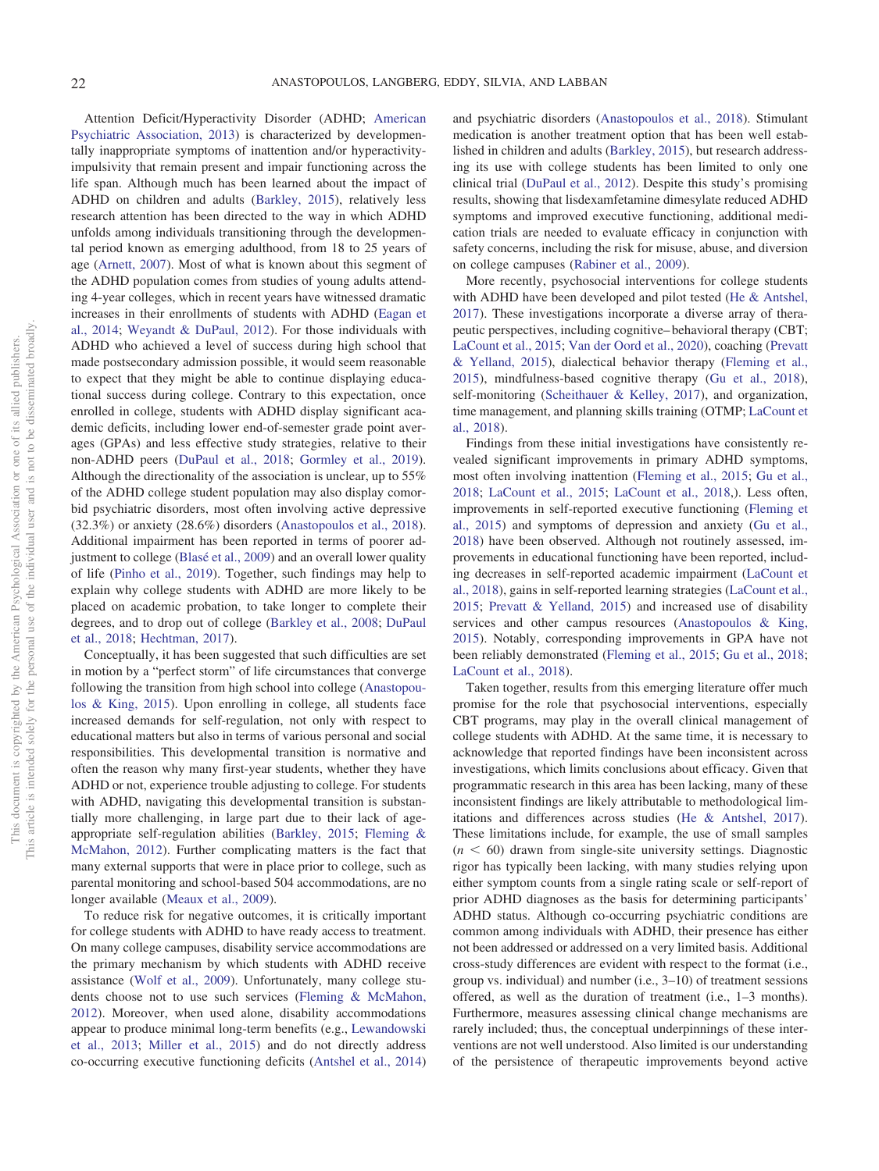Attention Deficit/Hyperactivity Disorder (ADHD; [American](#page-10-0) [Psychiatric Association, 2013\)](#page-10-0) is characterized by developmentally inappropriate symptoms of inattention and/or hyperactivityimpulsivity that remain present and impair functioning across the life span. Although much has been learned about the impact of ADHD on children and adults [\(Barkley, 2015\)](#page-11-1), relatively less research attention has been directed to the way in which ADHD unfolds among individuals transitioning through the developmental period known as emerging adulthood, from 18 to 25 years of age [\(Arnett, 2007\)](#page-11-2). Most of what is known about this segment of the ADHD population comes from studies of young adults attending 4-year colleges, which in recent years have witnessed dramatic increases in their enrollments of students with ADHD [\(Eagan et](#page-11-3) [al., 2014;](#page-11-3) [Weyandt & DuPaul, 2012\)](#page-12-0). For those individuals with ADHD who achieved a level of success during high school that made postsecondary admission possible, it would seem reasonable to expect that they might be able to continue displaying educational success during college. Contrary to this expectation, once enrolled in college, students with ADHD display significant academic deficits, including lower end-of-semester grade point averages (GPAs) and less effective study strategies, relative to their non-ADHD peers [\(DuPaul et al., 2018;](#page-11-4) [Gormley et al., 2019\)](#page-11-5). Although the directionality of the association is unclear, up to 55% of the ADHD college student population may also display comorbid psychiatric disorders, most often involving active depressive (32.3%) or anxiety (28.6%) disorders [\(Anastopoulos et al., 2018\)](#page-10-1). Additional impairment has been reported in terms of poorer adjustment to college [\(Blasé et al., 2009\)](#page-11-6) and an overall lower quality of life [\(Pinho et al., 2019\)](#page-11-7). Together, such findings may help to explain why college students with ADHD are more likely to be placed on academic probation, to take longer to complete their degrees, and to drop out of college [\(Barkley et al., 2008;](#page-11-8) [DuPaul](#page-11-4) [et al., 2018;](#page-11-4) [Hechtman, 2017\)](#page-11-9).

Conceptually, it has been suggested that such difficulties are set in motion by a "perfect storm" of life circumstances that converge following the transition from high school into college [\(Anastopou](#page-10-2)[los & King, 2015\)](#page-10-2). Upon enrolling in college, all students face increased demands for self-regulation, not only with respect to educational matters but also in terms of various personal and social responsibilities. This developmental transition is normative and often the reason why many first-year students, whether they have ADHD or not, experience trouble adjusting to college. For students with ADHD, navigating this developmental transition is substantially more challenging, in large part due to their lack of ageappropriate self-regulation abilities [\(Barkley, 2015;](#page-11-1) [Fleming &](#page-11-10) [McMahon, 2012\)](#page-11-10). Further complicating matters is the fact that many external supports that were in place prior to college, such as parental monitoring and school-based 504 accommodations, are no longer available [\(Meaux et al., 2009\)](#page-11-11).

To reduce risk for negative outcomes, it is critically important for college students with ADHD to have ready access to treatment. On many college campuses, disability service accommodations are the primary mechanism by which students with ADHD receive assistance [\(Wolf et al., 2009\)](#page-12-1). Unfortunately, many college students choose not to use such services [\(Fleming & McMahon,](#page-11-10) [2012\)](#page-11-10). Moreover, when used alone, disability accommodations appear to produce minimal long-term benefits (e.g., [Lewandowski](#page-11-12) [et al., 2013;](#page-11-12) [Miller et al., 2015\)](#page-11-13) and do not directly address co-occurring executive functioning deficits [\(Antshel et al., 2014\)](#page-11-14)

and psychiatric disorders [\(Anastopoulos et al., 2018\)](#page-10-1). Stimulant medication is another treatment option that has been well established in children and adults [\(Barkley, 2015\)](#page-11-1), but research addressing its use with college students has been limited to only one clinical trial [\(DuPaul et al., 2012\)](#page-11-15). Despite this study's promising results, showing that lisdexamfetamine dimesylate reduced ADHD symptoms and improved executive functioning, additional medication trials are needed to evaluate efficacy in conjunction with safety concerns, including the risk for misuse, abuse, and diversion on college campuses [\(Rabiner et al., 2009\)](#page-11-16).

More recently, psychosocial interventions for college students with ADHD have been developed and pilot tested [\(He & Antshel,](#page-11-17) [2017\)](#page-11-17). These investigations incorporate a diverse array of therapeutic perspectives, including cognitive– behavioral therapy (CBT; [LaCount et al., 2015;](#page-11-18) [Van der Oord et al., 2020\)](#page-12-2), coaching [\(Prevatt](#page-11-19) [& Yelland, 2015\)](#page-11-19), dialectical behavior therapy [\(Fleming et al.,](#page-11-20) [2015\)](#page-11-20), mindfulness-based cognitive therapy [\(Gu et al., 2018\)](#page-11-21), self-monitoring [\(Scheithauer & Kelley, 2017\)](#page-12-3), and organization, time management, and planning skills training (OTMP; [LaCount et](#page-11-22) [al., 2018\)](#page-11-22).

Findings from these initial investigations have consistently revealed significant improvements in primary ADHD symptoms, most often involving inattention [\(Fleming et al., 2015;](#page-11-20) [Gu et al.,](#page-11-21) [2018;](#page-11-21) [LaCount et al., 2015;](#page-11-18) [LaCount et al., 2018,](#page-11-22)). Less often, improvements in self-reported executive functioning [\(Fleming et](#page-11-20) [al., 2015\)](#page-11-20) and symptoms of depression and anxiety [\(Gu et al.,](#page-11-21) [2018\)](#page-11-21) have been observed. Although not routinely assessed, improvements in educational functioning have been reported, including decreases in self-reported academic impairment [\(LaCount et](#page-11-22) [al., 2018\)](#page-11-22), gains in self-reported learning strategies [\(LaCount et al.,](#page-11-18) [2015;](#page-11-18) [Prevatt & Yelland, 2015\)](#page-11-19) and increased use of disability services and other campus resources [\(Anastopoulos & King,](#page-10-2) [2015\)](#page-10-2). Notably, corresponding improvements in GPA have not been reliably demonstrated [\(Fleming et al., 2015;](#page-11-20) [Gu et al., 2018;](#page-11-21) [LaCount et al., 2018\)](#page-11-22).

Taken together, results from this emerging literature offer much promise for the role that psychosocial interventions, especially CBT programs, may play in the overall clinical management of college students with ADHD. At the same time, it is necessary to acknowledge that reported findings have been inconsistent across investigations, which limits conclusions about efficacy. Given that programmatic research in this area has been lacking, many of these inconsistent findings are likely attributable to methodological limitations and differences across studies [\(He & Antshel, 2017\)](#page-11-17). These limitations include, for example, the use of small samples  $(n < 60)$  drawn from single-site university settings. Diagnostic rigor has typically been lacking, with many studies relying upon either symptom counts from a single rating scale or self-report of prior ADHD diagnoses as the basis for determining participants' ADHD status. Although co-occurring psychiatric conditions are common among individuals with ADHD, their presence has either not been addressed or addressed on a very limited basis. Additional cross-study differences are evident with respect to the format (i.e., group vs. individual) and number (i.e., 3–10) of treatment sessions offered, as well as the duration of treatment (i.e., 1–3 months). Furthermore, measures assessing clinical change mechanisms are rarely included; thus, the conceptual underpinnings of these interventions are not well understood. Also limited is our understanding of the persistence of therapeutic improvements beyond active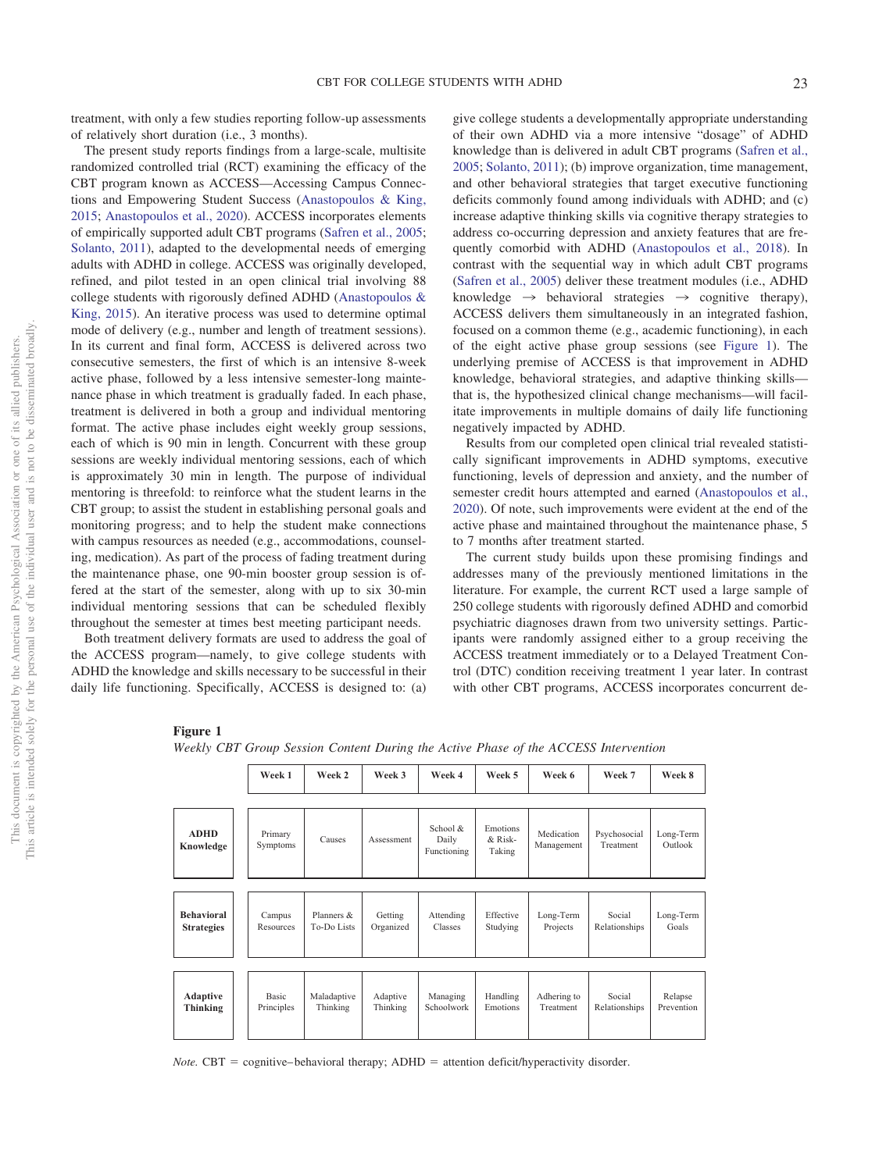treatment, with only a few studies reporting follow-up assessments of relatively short duration (i.e., 3 months).

The present study reports findings from a large-scale, multisite randomized controlled trial (RCT) examining the efficacy of the CBT program known as ACCESS—Accessing Campus Connections and Empowering Student Success [\(Anastopoulos & King,](#page-10-2) [2015;](#page-10-2) [Anastopoulos et al., 2020\)](#page-11-23). ACCESS incorporates elements of empirically supported adult CBT programs [\(Safren et al., 2005;](#page-11-24) [Solanto, 2011\)](#page-12-4), adapted to the developmental needs of emerging adults with ADHD in college. ACCESS was originally developed, refined, and pilot tested in an open clinical trial involving 88 college students with rigorously defined ADHD [\(Anastopoulos &](#page-10-2) [King, 2015\)](#page-10-2). An iterative process was used to determine optimal mode of delivery (e.g., number and length of treatment sessions). In its current and final form, ACCESS is delivered across two consecutive semesters, the first of which is an intensive 8-week active phase, followed by a less intensive semester-long maintenance phase in which treatment is gradually faded. In each phase, treatment is delivered in both a group and individual mentoring format. The active phase includes eight weekly group sessions, each of which is 90 min in length. Concurrent with these group sessions are weekly individual mentoring sessions, each of which is approximately 30 min in length. The purpose of individual mentoring is threefold: to reinforce what the student learns in the CBT group; to assist the student in establishing personal goals and monitoring progress; and to help the student make connections with campus resources as needed (e.g., accommodations, counseling, medication). As part of the process of fading treatment during the maintenance phase, one 90-min booster group session is offered at the start of the semester, along with up to six 30-min individual mentoring sessions that can be scheduled flexibly throughout the semester at times best meeting participant needs.

Both treatment delivery formats are used to address the goal of the ACCESS program—namely, to give college students with ADHD the knowledge and skills necessary to be successful in their daily life functioning. Specifically, ACCESS is designed to: (a)

give college students a developmentally appropriate understanding of their own ADHD via a more intensive "dosage" of ADHD knowledge than is delivered in adult CBT programs [\(Safren et al.,](#page-11-24) [2005;](#page-11-24) [Solanto, 2011\)](#page-12-4); (b) improve organization, time management, and other behavioral strategies that target executive functioning deficits commonly found among individuals with ADHD; and (c) increase adaptive thinking skills via cognitive therapy strategies to address co-occurring depression and anxiety features that are frequently comorbid with ADHD [\(Anastopoulos et al., 2018\)](#page-10-1). In contrast with the sequential way in which adult CBT programs [\(Safren et al., 2005\)](#page-11-24) deliver these treatment modules (i.e., ADHD knowledge  $\rightarrow$  behavioral strategies  $\rightarrow$  cognitive therapy), ACCESS delivers them simultaneously in an integrated fashion, focused on a common theme (e.g., academic functioning), in each of the eight active phase group sessions (see [Figure 1\)](#page-2-0). The underlying premise of ACCESS is that improvement in ADHD knowledge, behavioral strategies, and adaptive thinking skills that is, the hypothesized clinical change mechanisms—will facilitate improvements in multiple domains of daily life functioning negatively impacted by ADHD.

Results from our completed open clinical trial revealed statistically significant improvements in ADHD symptoms, executive functioning, levels of depression and anxiety, and the number of semester credit hours attempted and earned [\(Anastopoulos et al.,](#page-11-23) [2020\)](#page-11-23). Of note, such improvements were evident at the end of the active phase and maintained throughout the maintenance phase, 5 to 7 months after treatment started.

The current study builds upon these promising findings and addresses many of the previously mentioned limitations in the literature. For example, the current RCT used a large sample of 250 college students with rigorously defined ADHD and comorbid psychiatric diagnoses drawn from two university settings. Participants were randomly assigned either to a group receiving the ACCESS treatment immediately or to a Delayed Treatment Control (DTC) condition receiving treatment 1 year later. In contrast with other CBT programs, ACCESS incorporates concurrent de-

## <span id="page-2-0"></span>**Figure 1**

*Weekly CBT Group Session Content During the Active Phase of the ACCESS Intervention*

|                          | Week 1              | Week 2      | Week 3     | Week 4                              | Week 5                          | Week 6                   | Week 7                    | Week 8               |
|--------------------------|---------------------|-------------|------------|-------------------------------------|---------------------------------|--------------------------|---------------------------|----------------------|
| <b>ADHD</b><br>Knowledge | Primary<br>Symptoms | Causes      | Assessment | School $\&$<br>Daily<br>Functioning | Emotions<br>$&$ Risk-<br>Taking | Medication<br>Management | Psychosocial<br>Treatment | Long-Term<br>Outlook |
| <b>Behavioral</b>        | Campus              | Planners &  | Getting    | Attending                           | Effective                       | Long-Term                | Social                    | Long-Term            |
| <b>Strategies</b>        | Resources           | To-Do Lists | Organized  | Classes                             | Studying                        | Projects                 | Relationships             | Goals                |
| Adaptive                 | <b>Basic</b>        | Maladaptive | Adaptive   | Managing                            | Handling                        | Adhering to              | Social                    | Relapse              |
| <b>Thinking</b>          | Principles          | Thinking    | Thinking   | Schoolwork                          | Emotions                        | Treatment                | Relationships             | Prevention           |

*Note.*  $CBT =$  cognitive–behavioral therapy;  $ADHD =$  attention deficit/hyperactivity disorder.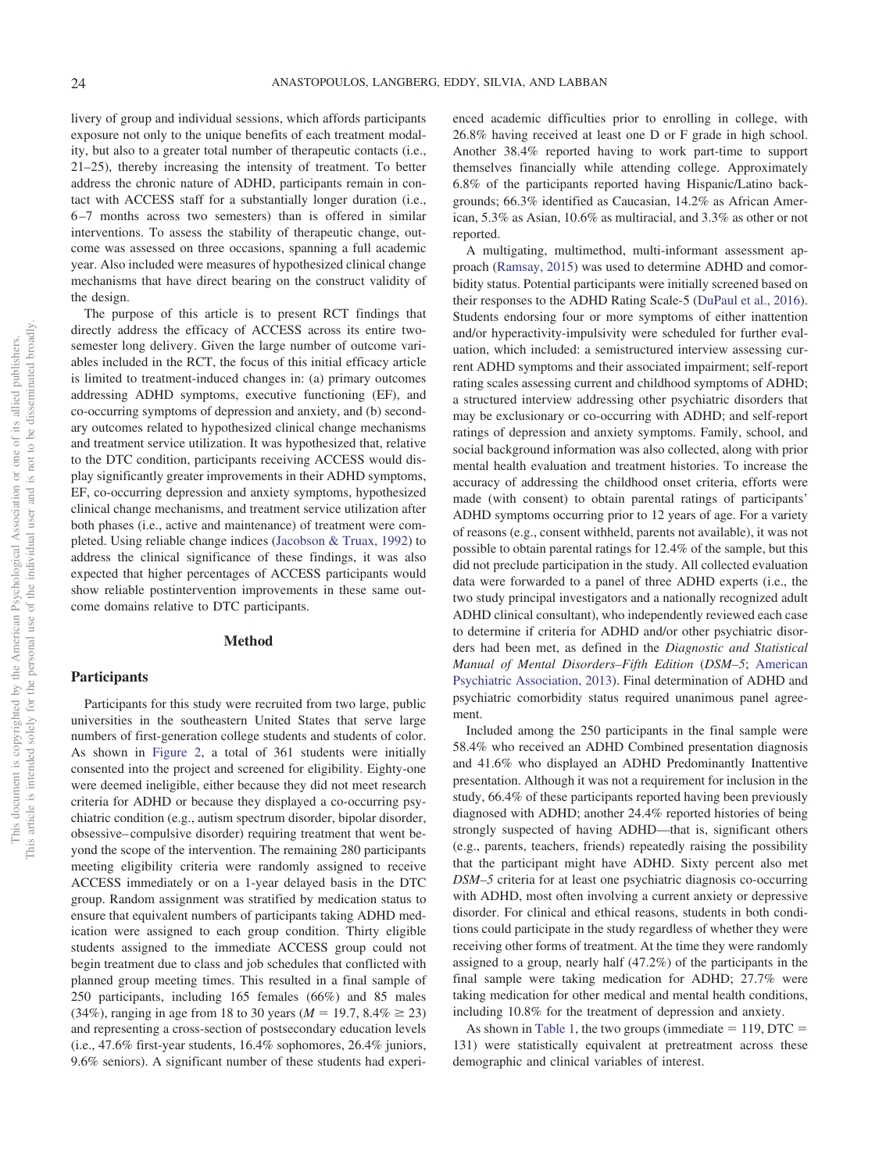livery of group and individual sessions, which affords participants exposure not only to the unique benefits of each treatment modality, but also to a greater total number of therapeutic contacts (i.e., 21–25), thereby increasing the intensity of treatment. To better address the chronic nature of ADHD, participants remain in contact with ACCESS staff for a substantially longer duration (i.e., 6 –7 months across two semesters) than is offered in similar interventions. To assess the stability of therapeutic change, outcome was assessed on three occasions, spanning a full academic year. Also included were measures of hypothesized clinical change mechanisms that have direct bearing on the construct validity of the design.

The purpose of this article is to present RCT findings that directly address the efficacy of ACCESS across its entire twosemester long delivery. Given the large number of outcome variables included in the RCT, the focus of this initial efficacy article is limited to treatment-induced changes in: (a) primary outcomes addressing ADHD symptoms, executive functioning (EF), and co-occurring symptoms of depression and anxiety, and (b) secondary outcomes related to hypothesized clinical change mechanisms and treatment service utilization. It was hypothesized that, relative to the DTC condition, participants receiving ACCESS would display significantly greater improvements in their ADHD symptoms, EF, co-occurring depression and anxiety symptoms, hypothesized clinical change mechanisms, and treatment service utilization after both phases (i.e., active and maintenance) of treatment were completed. Using reliable change indices [\(Jacobson & Truax, 1992\)](#page-11-0) to address the clinical significance of these findings, it was also expected that higher percentages of ACCESS participants would show reliable postintervention improvements in these same outcome domains relative to DTC participants.

# **Method**

# **Participants**

Participants for this study were recruited from two large, public universities in the southeastern United States that serve large numbers of first-generation college students and students of color. As shown in [Figure 2,](#page-4-0) a total of 361 students were initially consented into the project and screened for eligibility. Eighty-one were deemed ineligible, either because they did not meet research criteria for ADHD or because they displayed a co-occurring psychiatric condition (e.g., autism spectrum disorder, bipolar disorder, obsessive– compulsive disorder) requiring treatment that went beyond the scope of the intervention. The remaining 280 participants meeting eligibility criteria were randomly assigned to receive ACCESS immediately or on a 1-year delayed basis in the DTC group. Random assignment was stratified by medication status to ensure that equivalent numbers of participants taking ADHD medication were assigned to each group condition. Thirty eligible students assigned to the immediate ACCESS group could not begin treatment due to class and job schedules that conflicted with planned group meeting times. This resulted in a final sample of 250 participants, including 165 females (66%) and 85 males  $(34\%)$ , ranging in age from 18 to 30 years ( $M = 19.7, 8.4\% \ge 23$ ) and representing a cross-section of postsecondary education levels (i.e., 47.6% first-year students, 16.4% sophomores, 26.4% juniors, 9.6% seniors). A significant number of these students had experienced academic difficulties prior to enrolling in college, with 26.8% having received at least one D or F grade in high school. Another 38.4% reported having to work part-time to support themselves financially while attending college. Approximately 6.8% of the participants reported having Hispanic/Latino backgrounds; 66.3% identified as Caucasian, 14.2% as African American, 5.3% as Asian, 10.6% as multiracial, and 3.3% as other or not reported.

A multigating, multimethod, multi-informant assessment approach [\(Ramsay, 2015\)](#page-11-25) was used to determine ADHD and comorbidity status. Potential participants were initially screened based on their responses to the ADHD Rating Scale-5 [\(DuPaul et al., 2016\)](#page-11-26). Students endorsing four or more symptoms of either inattention and/or hyperactivity-impulsivity were scheduled for further evaluation, which included: a semistructured interview assessing current ADHD symptoms and their associated impairment; self-report rating scales assessing current and childhood symptoms of ADHD; a structured interview addressing other psychiatric disorders that may be exclusionary or co-occurring with ADHD; and self-report ratings of depression and anxiety symptoms. Family, school, and social background information was also collected, along with prior mental health evaluation and treatment histories. To increase the accuracy of addressing the childhood onset criteria, efforts were made (with consent) to obtain parental ratings of participants' ADHD symptoms occurring prior to 12 years of age. For a variety of reasons (e.g., consent withheld, parents not available), it was not possible to obtain parental ratings for 12.4% of the sample, but this did not preclude participation in the study. All collected evaluation data were forwarded to a panel of three ADHD experts (i.e., the two study principal investigators and a nationally recognized adult ADHD clinical consultant), who independently reviewed each case to determine if criteria for ADHD and/or other psychiatric disorders had been met, as defined in the *Diagnostic and Statistical Manual of Mental Disorders–Fifth Edition* (*DSM–5*; [American](#page-10-0) [Psychiatric Association, 2013\)](#page-10-0). Final determination of ADHD and psychiatric comorbidity status required unanimous panel agreement.

Included among the 250 participants in the final sample were 58.4% who received an ADHD Combined presentation diagnosis and 41.6% who displayed an ADHD Predominantly Inattentive presentation. Although it was not a requirement for inclusion in the study, 66.4% of these participants reported having been previously diagnosed with ADHD; another 24.4% reported histories of being strongly suspected of having ADHD—that is, significant others (e.g., parents, teachers, friends) repeatedly raising the possibility that the participant might have ADHD. Sixty percent also met *DSM–5* criteria for at least one psychiatric diagnosis co-occurring with ADHD, most often involving a current anxiety or depressive disorder. For clinical and ethical reasons, students in both conditions could participate in the study regardless of whether they were receiving other forms of treatment. At the time they were randomly assigned to a group, nearly half (47.2%) of the participants in the final sample were taking medication for ADHD; 27.7% were taking medication for other medical and mental health conditions, including 10.8% for the treatment of depression and anxiety.

As shown in [Table 1,](#page-5-0) the two groups (immediate  $= 119$ , DTC  $=$ 131) were statistically equivalent at pretreatment across these demographic and clinical variables of interest.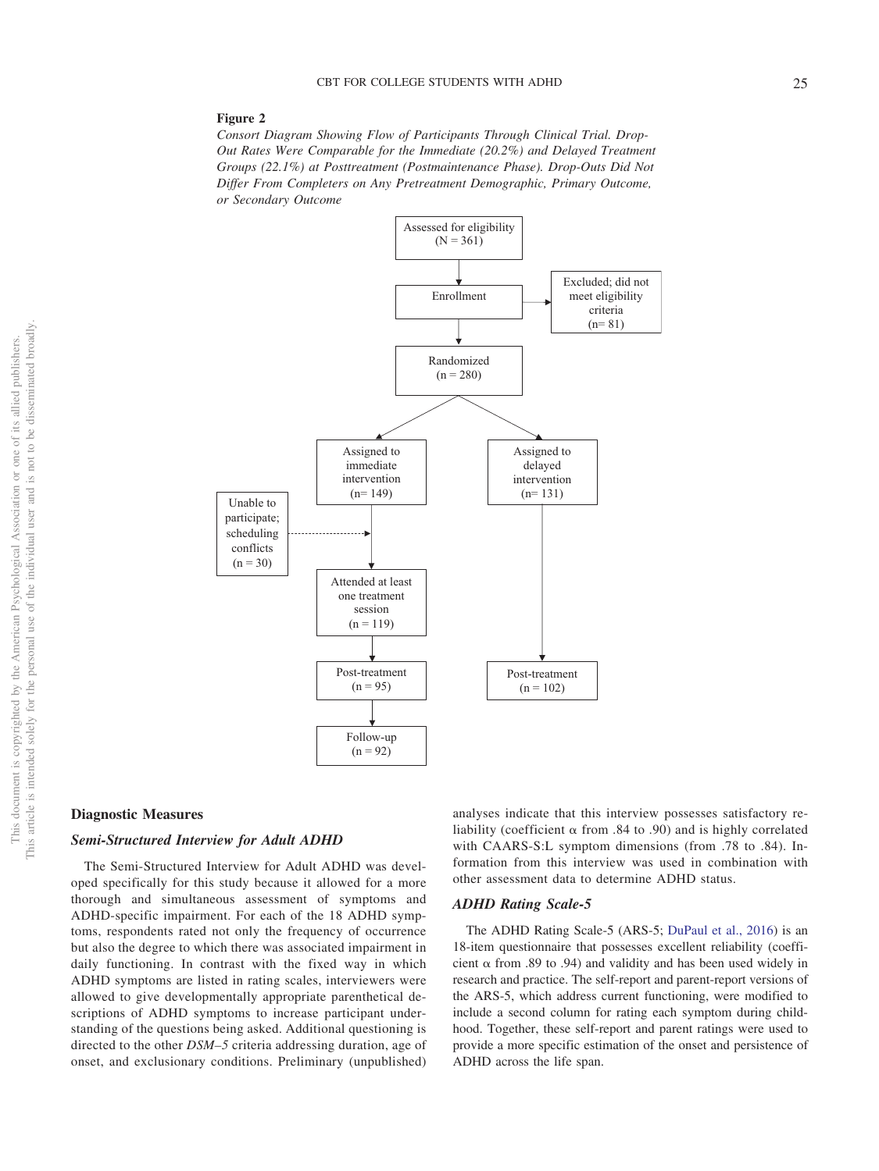#### <span id="page-4-0"></span>**Figure 2**

*Consort Diagram Showing Flow of Participants Through Clinical Trial. Drop-Out Rates Were Comparable for the Immediate (20.2%) and Delayed Treatment Groups (22.1%) at Posttreatment (Postmaintenance Phase). Drop-Outs Did Not Differ From Completers on Any Pretreatment Demographic, Primary Outcome, or Secondary Outcome*



#### **Diagnostic Measures**

## *Semi-Structured Interview for Adult ADHD*

The Semi-Structured Interview for Adult ADHD was developed specifically for this study because it allowed for a more thorough and simultaneous assessment of symptoms and ADHD-specific impairment. For each of the 18 ADHD symptoms, respondents rated not only the frequency of occurrence but also the degree to which there was associated impairment in daily functioning. In contrast with the fixed way in which ADHD symptoms are listed in rating scales, interviewers were allowed to give developmentally appropriate parenthetical descriptions of ADHD symptoms to increase participant understanding of the questions being asked. Additional questioning is directed to the other *DSM–5* criteria addressing duration, age of onset, and exclusionary conditions. Preliminary (unpublished) analyses indicate that this interview possesses satisfactory reliability (coefficient  $\alpha$  from .84 to .90) and is highly correlated with CAARS-S:L symptom dimensions (from .78 to .84). Information from this interview was used in combination with other assessment data to determine ADHD status.

#### *ADHD Rating Scale-5*

The ADHD Rating Scale-5 (ARS-5; [DuPaul et al., 2016\)](#page-11-26) is an 18-item questionnaire that possesses excellent reliability (coefficient  $\alpha$  from .89 to .94) and validity and has been used widely in research and practice. The self-report and parent-report versions of the ARS-5, which address current functioning, were modified to include a second column for rating each symptom during childhood. Together, these self-report and parent ratings were used to provide a more specific estimation of the onset and persistence of ADHD across the life span.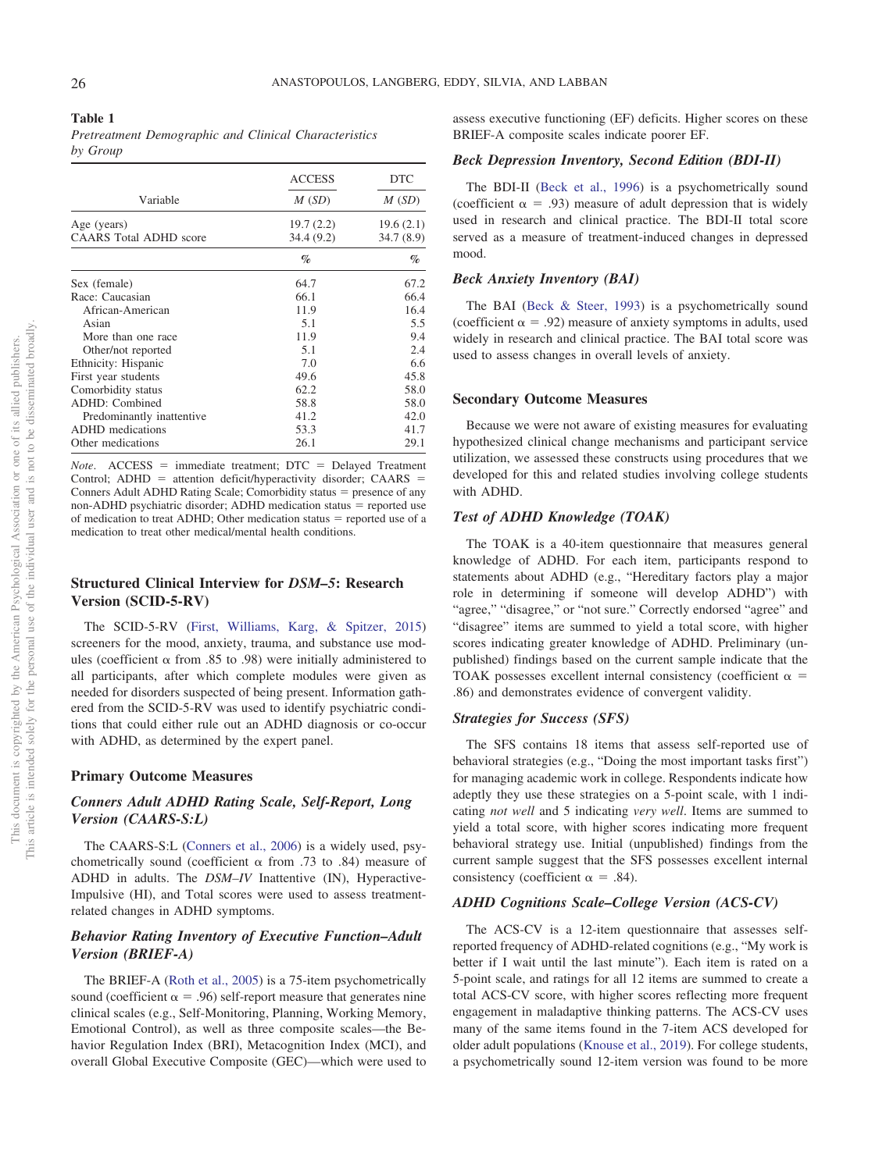#### <span id="page-5-0"></span>**Table 1**

*Pretreatment Demographic and Clinical Characteristics by Group*

|                               | <b>ACCESS</b> | <b>DTC</b> |  |
|-------------------------------|---------------|------------|--|
| Variable                      | M(SD)         | M(SD)      |  |
| Age (years)                   | 19.7(2.2)     | 19.6(2.1)  |  |
| <b>CAARS</b> Total ADHD score | 34.4 (9.2)    | 34.7 (8.9) |  |
|                               | $\%$          | $\%$       |  |
| Sex (female)                  | 64.7          | 67.2       |  |
| Race: Caucasian               | 66.1          | 66.4       |  |
| African-American              | 11.9          | 16.4       |  |
| Asian                         | 5.1           | 5.5        |  |
| More than one race            | 11.9          | 9.4        |  |
| Other/not reported            | 5.1           | 2.4        |  |
| Ethnicity: Hispanic           | 7.0           | 6.6        |  |
| First year students           | 49.6          | 45.8       |  |
| Comorbidity status            | 62.2          | 58.0       |  |
| <b>ADHD:</b> Combined         | 58.8          | 58.0       |  |
| Predominantly inattentive     | 41.2          | 42.0       |  |
| <b>ADHD</b> medications       | 53.3          | 41.7       |  |
| Other medications             | 26.1          | 29.1       |  |

*Note*. ACCESS = immediate treatment; DTC = Delayed Treatment Control;  $ADHD =$  attention deficit/hyperactivity disorder;  $CAARS =$ Conners Adult ADHD Rating Scale; Comorbidity status  $=$  presence of any non-ADHD psychiatric disorder; ADHD medication status  $=$  reported use of medication to treat ADHD; Other medication status  $=$  reported use of a medication to treat other medical/mental health conditions.

# **Structured Clinical Interview for** *DSM–5***: Research Version (SCID-5-RV)**

The SCID-5-RV [\(First, Williams, Karg, & Spitzer, 2015\)](#page-11-27) screeners for the mood, anxiety, trauma, and substance use modules (coefficient  $\alpha$  from .85 to .98) were initially administered to all participants, after which complete modules were given as needed for disorders suspected of being present. Information gathered from the SCID-5-RV was used to identify psychiatric conditions that could either rule out an ADHD diagnosis or co-occur with ADHD, as determined by the expert panel.

## **Primary Outcome Measures**

# *Conners Adult ADHD Rating Scale, Self-Report, Long Version (CAARS-S:L)*

The CAARS-S:L [\(Conners et al., 2006\)](#page-11-28) is a widely used, psychometrically sound (coefficient  $\alpha$  from .73 to .84) measure of ADHD in adults. The *DSM–IV* Inattentive (IN), Hyperactive-Impulsive (HI), and Total scores were used to assess treatmentrelated changes in ADHD symptoms.

# *Behavior Rating Inventory of Executive Function–Adult Version (BRIEF-A)*

The BRIEF-A [\(Roth et al., 2005\)](#page-11-29) is a 75-item psychometrically sound (coefficient  $\alpha = .96$ ) self-report measure that generates nine clinical scales (e.g., Self-Monitoring, Planning, Working Memory, Emotional Control), as well as three composite scales—the Behavior Regulation Index (BRI), Metacognition Index (MCI), and overall Global Executive Composite (GEC)—which were used to assess executive functioning (EF) deficits. Higher scores on these BRIEF-A composite scales indicate poorer EF.

# *Beck Depression Inventory, Second Edition (BDI-II)*

The BDI-II [\(Beck et al., 1996\)](#page-11-30) is a psychometrically sound (coefficient  $\alpha = .93$ ) measure of adult depression that is widely used in research and clinical practice. The BDI-II total score served as a measure of treatment-induced changes in depressed mood.

## *Beck Anxiety Inventory (BAI)*

The BAI [\(Beck & Steer, 1993\)](#page-11-31) is a psychometrically sound (coefficient  $\alpha = .92$ ) measure of anxiety symptoms in adults, used widely in research and clinical practice. The BAI total score was used to assess changes in overall levels of anxiety.

## **Secondary Outcome Measures**

Because we were not aware of existing measures for evaluating hypothesized clinical change mechanisms and participant service utilization, we assessed these constructs using procedures that we developed for this and related studies involving college students with ADHD.

## *Test of ADHD Knowledge (TOAK)*

The TOAK is a 40-item questionnaire that measures general knowledge of ADHD. For each item, participants respond to statements about ADHD (e.g., "Hereditary factors play a major role in determining if someone will develop ADHD") with "agree," "disagree," or "not sure." Correctly endorsed "agree" and "disagree" items are summed to yield a total score, with higher scores indicating greater knowledge of ADHD. Preliminary (unpublished) findings based on the current sample indicate that the TOAK possesses excellent internal consistency (coefficient  $\alpha$  = .86) and demonstrates evidence of convergent validity.

#### *Strategies for Success (SFS)*

The SFS contains 18 items that assess self-reported use of behavioral strategies (e.g., "Doing the most important tasks first") for managing academic work in college. Respondents indicate how adeptly they use these strategies on a 5-point scale, with 1 indicating *not well* and 5 indicating *very well*. Items are summed to yield a total score, with higher scores indicating more frequent behavioral strategy use. Initial (unpublished) findings from the current sample suggest that the SFS possesses excellent internal consistency (coefficient  $\alpha = .84$ ).

# *ADHD Cognitions Scale–College Version (ACS-CV)*

The ACS-CV is a 12-item questionnaire that assesses selfreported frequency of ADHD-related cognitions (e.g., "My work is better if I wait until the last minute"). Each item is rated on a 5-point scale, and ratings for all 12 items are summed to create a total ACS-CV score, with higher scores reflecting more frequent engagement in maladaptive thinking patterns. The ACS-CV uses many of the same items found in the 7-item ACS developed for older adult populations [\(Knouse et al., 2019\)](#page-11-32). For college students, a psychometrically sound 12-item version was found to be more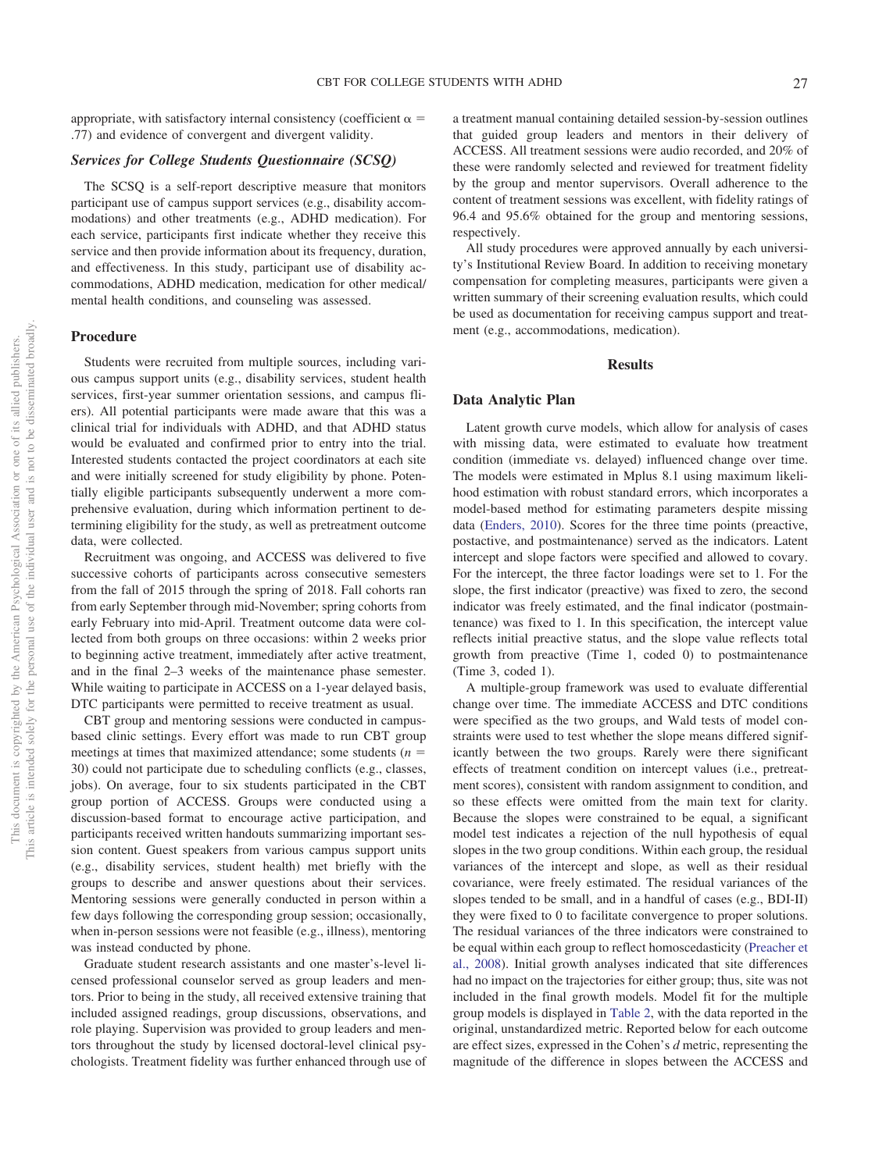appropriate, with satisfactory internal consistency (coefficient  $\alpha =$ .77) and evidence of convergent and divergent validity.

## *Services for College Students Questionnaire (SCSQ)*

The SCSQ is a self-report descriptive measure that monitors participant use of campus support services (e.g., disability accommodations) and other treatments (e.g., ADHD medication). For each service, participants first indicate whether they receive this service and then provide information about its frequency, duration, and effectiveness. In this study, participant use of disability accommodations, ADHD medication, medication for other medical/ mental health conditions, and counseling was assessed.

# **Procedure**

Students were recruited from multiple sources, including various campus support units (e.g., disability services, student health services, first-year summer orientation sessions, and campus fliers). All potential participants were made aware that this was a clinical trial for individuals with ADHD, and that ADHD status would be evaluated and confirmed prior to entry into the trial. Interested students contacted the project coordinators at each site and were initially screened for study eligibility by phone. Potentially eligible participants subsequently underwent a more comprehensive evaluation, during which information pertinent to determining eligibility for the study, as well as pretreatment outcome data, were collected.

Recruitment was ongoing, and ACCESS was delivered to five successive cohorts of participants across consecutive semesters from the fall of 2015 through the spring of 2018. Fall cohorts ran from early September through mid-November; spring cohorts from early February into mid-April. Treatment outcome data were collected from both groups on three occasions: within 2 weeks prior to beginning active treatment, immediately after active treatment, and in the final 2–3 weeks of the maintenance phase semester. While waiting to participate in ACCESS on a 1-year delayed basis, DTC participants were permitted to receive treatment as usual.

CBT group and mentoring sessions were conducted in campusbased clinic settings. Every effort was made to run CBT group meetings at times that maximized attendance; some students (*n* 30) could not participate due to scheduling conflicts (e.g., classes, jobs). On average, four to six students participated in the CBT group portion of ACCESS. Groups were conducted using a discussion-based format to encourage active participation, and participants received written handouts summarizing important session content. Guest speakers from various campus support units (e.g., disability services, student health) met briefly with the groups to describe and answer questions about their services. Mentoring sessions were generally conducted in person within a few days following the corresponding group session; occasionally, when in-person sessions were not feasible (e.g., illness), mentoring was instead conducted by phone.

Graduate student research assistants and one master's-level licensed professional counselor served as group leaders and mentors. Prior to being in the study, all received extensive training that included assigned readings, group discussions, observations, and role playing. Supervision was provided to group leaders and mentors throughout the study by licensed doctoral-level clinical psychologists. Treatment fidelity was further enhanced through use of a treatment manual containing detailed session-by-session outlines that guided group leaders and mentors in their delivery of ACCESS. All treatment sessions were audio recorded, and 20% of these were randomly selected and reviewed for treatment fidelity by the group and mentor supervisors. Overall adherence to the content of treatment sessions was excellent, with fidelity ratings of 96.4 and 95.6% obtained for the group and mentoring sessions, respectively.

All study procedures were approved annually by each university's Institutional Review Board. In addition to receiving monetary compensation for completing measures, participants were given a written summary of their screening evaluation results, which could be used as documentation for receiving campus support and treatment (e.g., accommodations, medication).

# **Results**

## **Data Analytic Plan**

Latent growth curve models, which allow for analysis of cases with missing data, were estimated to evaluate how treatment condition (immediate vs. delayed) influenced change over time. The models were estimated in Mplus 8.1 using maximum likelihood estimation with robust standard errors, which incorporates a model-based method for estimating parameters despite missing data [\(Enders, 2010\)](#page-11-33). Scores for the three time points (preactive, postactive, and postmaintenance) served as the indicators. Latent intercept and slope factors were specified and allowed to covary. For the intercept, the three factor loadings were set to 1. For the slope, the first indicator (preactive) was fixed to zero, the second indicator was freely estimated, and the final indicator (postmaintenance) was fixed to 1. In this specification, the intercept value reflects initial preactive status, and the slope value reflects total growth from preactive (Time 1, coded 0) to postmaintenance (Time 3, coded 1).

A multiple-group framework was used to evaluate differential change over time. The immediate ACCESS and DTC conditions were specified as the two groups, and Wald tests of model constraints were used to test whether the slope means differed significantly between the two groups. Rarely were there significant effects of treatment condition on intercept values (i.e., pretreatment scores), consistent with random assignment to condition, and so these effects were omitted from the main text for clarity. Because the slopes were constrained to be equal, a significant model test indicates a rejection of the null hypothesis of equal slopes in the two group conditions. Within each group, the residual variances of the intercept and slope, as well as their residual covariance, were freely estimated. The residual variances of the slopes tended to be small, and in a handful of cases (e.g., BDI-II) they were fixed to 0 to facilitate convergence to proper solutions. The residual variances of the three indicators were constrained to be equal within each group to reflect homoscedasticity [\(Preacher et](#page-11-34) [al., 2008\)](#page-11-34). Initial growth analyses indicated that site differences had no impact on the trajectories for either group; thus, site was not included in the final growth models. Model fit for the multiple group models is displayed in [Table 2,](#page-7-0) with the data reported in the original, unstandardized metric. Reported below for each outcome are effect sizes, expressed in the Cohen's *d* metric, representing the magnitude of the difference in slopes between the ACCESS and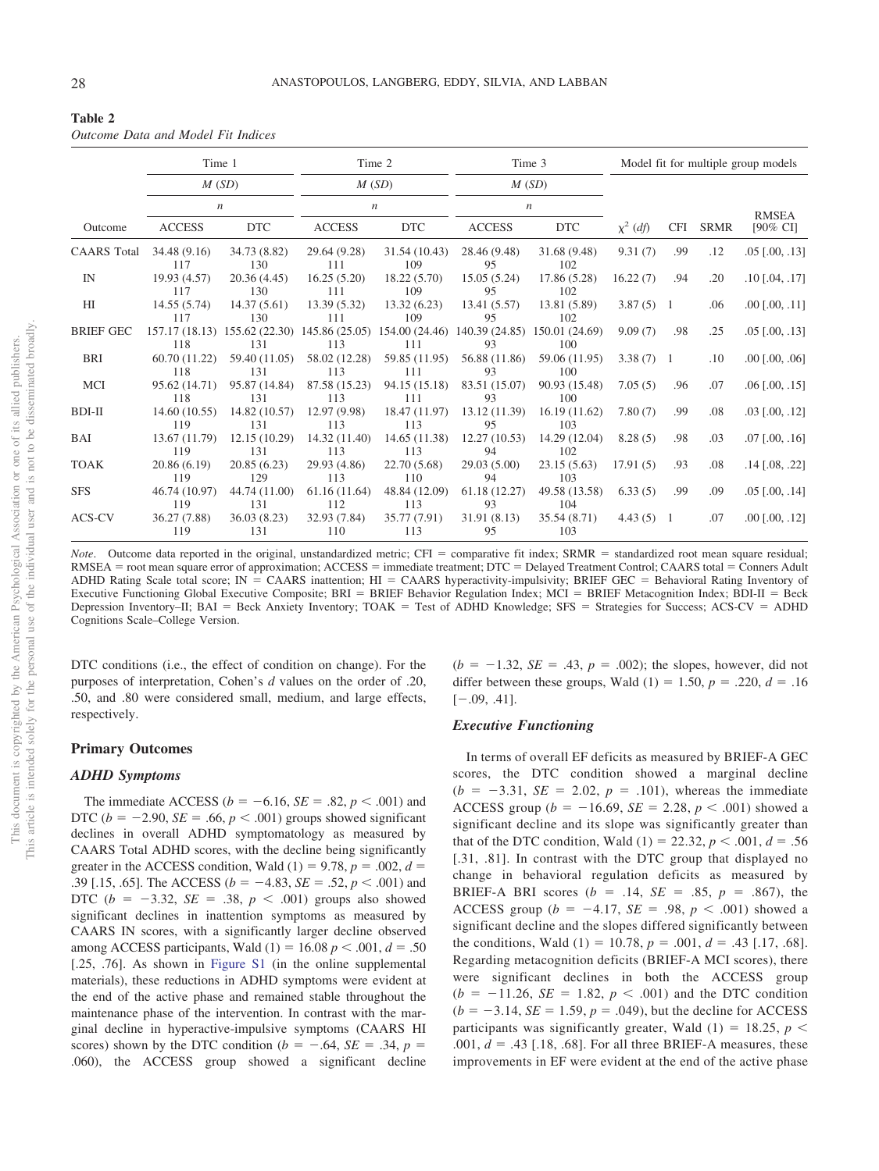<span id="page-7-0"></span>

| Table 2                            |  |  |  |
|------------------------------------|--|--|--|
| Outcome Data and Model Fit Indices |  |  |  |

|                    | Time 1               |                      | Time 2                                                                                           |                      | Time 3              |                      | Model fit for multiple group models |            |             |                         |
|--------------------|----------------------|----------------------|--------------------------------------------------------------------------------------------------|----------------------|---------------------|----------------------|-------------------------------------|------------|-------------|-------------------------|
|                    |                      | M(SD)                |                                                                                                  | M(SD)                | M(SD)               |                      |                                     |            |             |                         |
|                    |                      | $\boldsymbol{n}$     | $\boldsymbol{n}$                                                                                 |                      | $\boldsymbol{n}$    |                      |                                     |            |             | <b>RMSEA</b>            |
| Outcome            | <b>ACCESS</b>        | <b>DTC</b>           | <b>ACCESS</b>                                                                                    | <b>DTC</b>           | <b>ACCESS</b>       | <b>DTC</b>           | $\chi^2$ (df)                       | <b>CFI</b> | <b>SRMR</b> | $[90\% \text{ CI}]$     |
| <b>CAARS</b> Total | 34.48(9.16)<br>117   | 34.73 (8.82)<br>130  | 29.64 (9.28)<br>111                                                                              | 31.54 (10.43)<br>109 | 28.46 (9.48)<br>95  | 31.68 (9.48)<br>102  | 9.31(7)                             | .99        | .12         | $.05$ [ $.00, .13$ ]    |
| IN                 | 19.93 (4.57)<br>117  | 20.36 (4.45)<br>130  | 16.25(5.20)<br>111                                                                               | 18.22(5.70)<br>109   | 15.05(5.24)<br>95   | 17.86 (5.28)<br>102  | 16.22(7)                            | .94        | .20         | $.10$ [ $.04$ , $.17$ ] |
| HI                 | 14.55(5.74)<br>117   | 14.37(5.61)<br>130   | 13.39(5.32)<br>111                                                                               | 13.32(6.23)<br>109   | 13.41(5.57)<br>95   | 13.81 (5.89)<br>102  | $3.87(5)$ 1                         |            | .06         | $.00$ [ $.00$ , $.11$ ] |
| <b>BRIEF GEC</b>   | 118                  | 131                  | 157.17 (18.13) 155.62 (22.30) 145.86 (25.05) 154.00 (24.46) 140.39 (24.85) 150.01 (24.69)<br>113 | 111                  | 93                  | 100                  | 9.09(7)                             | .98        | .25         | $.05$ [ $.00, .13$ ]    |
| BRI                | 60.70 (11.22)<br>118 | 59.40 (11.05)<br>131 | 58.02 (12.28)<br>113                                                                             | 59.85 (11.95)<br>111 | 56.88 (11.86)<br>93 | 59.06 (11.95)<br>100 | $3.38(7)$ 1                         |            | .10         | $.00$ [ $.00$ , $.06$ ] |
| MCI                | 95.62 (14.71)<br>118 | 95.87 (14.84)<br>131 | 87.58 (15.23)<br>113                                                                             | 94.15 (15.18)<br>111 | 83.51 (15.07)<br>93 | 90.93 (15.48)<br>100 | 7.05(5)                             | .96        | .07         | $.06$ [ $.00, .15$ ]    |
| BDI-II             | 14.60(10.55)<br>119  | 14.82 (10.57)<br>131 | 12.97(9.98)<br>113                                                                               | 18.47 (11.97)<br>113 | 13.12 (11.39)<br>95 | 16.19(11.62)<br>103  | 7.80(7)                             | .99        | .08         | $.03$ [ $.00, .12$ ]    |
| BAI                | 13.67 (11.79)<br>119 | 12.15 (10.29)<br>131 | 14.32 (11.40)<br>113                                                                             | 14.65 (11.38)<br>113 | 12.27(10.53)<br>94  | 14.29 (12.04)<br>102 | 8.28(5)                             | .98        | .03         | $.07$ [ $.00, .16$ ]    |
| <b>TOAK</b>        | 20.86(6.19)<br>119   | 20.85(6.23)<br>129   | 29.93 (4.86)<br>113                                                                              | 22.70 (5.68)<br>110  | 29.03(5.00)<br>94   | 23.15(5.63)<br>103   | 17.91(5)                            | .93        | .08         | $.14$ [.08, .22]        |
| <b>SFS</b>         | 46.74 (10.97)<br>119 | 44.74 (11.00)<br>131 | 61.16(11.64)<br>112                                                                              | 48.84 (12.09)<br>113 | 61.18(12.27)<br>93  | 49.58 (13.58)<br>104 | 6.33(5)                             | .99        | .09         | $.05$ [ $.00, .14$ ]    |
| ACS-CV             | 36.27 (7.88)<br>119  | 36.03(8.23)<br>131   | 32.93 (7.84)<br>110                                                                              | 35.77 (7.91)<br>113  | 31.91(8.13)<br>95   | 35.54 (8.71)<br>103  | $4.43(5)$ 1                         |            | .07         | $.00$ [ $.00$ , $.12$ ] |

*Note*. Outcome data reported in the original, unstandardized metric; CFI = comparative fit index; SRMR = standardized root mean square residual; RMSEA = root mean square error of approximation; ACCESS = immediate treatment; DTC = Delayed Treatment Control; CAARS total = Conners Adult ADHD Rating Scale total score; IN = CAARS inattention; HI = CAARS hyperactivity-impulsivity; BRIEF GEC = Behavioral Rating Inventory of Executive Functioning Global Executive Composite; BRI = BRIEF Behavior Regulation Index; MCI = BRIEF Metacognition Index; BDI-II = Beck Depression Inventory–II;  $BAI = Beck$  Anxiety Inventory;  $TOAK = Test$  of ADHD Knowledge;  $SFS = Strategy$  of Success; ACS-CV = ADHD Cognitions Scale–College Version.

DTC conditions (i.e., the effect of condition on change). For the purposes of interpretation, Cohen's *d* values on the order of .20, .50, and .80 were considered small, medium, and large effects, respectively.

# **Primary Outcomes**

#### *ADHD Symptoms*

The immediate ACCESS ( $b = -6.16$ , *SE* = .82,  $p < .001$ ) and DTC ( $b = -2.90$ ,  $SE = .66$ ,  $p < .001$ ) groups showed significant declines in overall ADHD symptomatology as measured by CAARS Total ADHD scores, with the decline being significantly greater in the ACCESS condition, Wald  $(1) = 9.78$ ,  $p = .002$ ,  $d =$ .39 [.15, .65]. The ACCESS ( $b = -4.83$ ,  $SE = .52$ ,  $p < .001$ ) and DTC ( $b = -3.32$ ,  $SE = .38$ ,  $p < .001$ ) groups also showed significant declines in inattention symptoms as measured by CAARS IN scores, with a significantly larger decline observed among ACCESS participants, Wald  $(1) = 16.08 p < .001, d = .50$ [.25, .76]. As shown in [Figure S1](https://doi.org/10.1037/ccp0000553.supp) (in the online supplemental materials), these reductions in ADHD symptoms were evident at the end of the active phase and remained stable throughout the maintenance phase of the intervention. In contrast with the marginal decline in hyperactive-impulsive symptoms (CAARS HI scores) shown by the DTC condition ( $b = -.64$ ,  $SE = .34$ ,  $p =$ .060), the ACCESS group showed a significant decline  $(b = -1.32, SE = .43, p = .002)$ ; the slopes, however, did not differ between these groups, Wald  $(1) = 1.50$ ,  $p = .220$ ,  $d = .16$  $[-.09, .41].$ 

#### *Executive Functioning*

In terms of overall EF deficits as measured by BRIEF-A GEC scores, the DTC condition showed a marginal decline  $(b = -3.31, SE = 2.02, p = .101)$ , whereas the immediate ACCESS group ( $b = -16.69$ ,  $SE = 2.28$ ,  $p < .001$ ) showed a significant decline and its slope was significantly greater than that of the DTC condition, Wald  $(1) = 22.32, p < .001, d = .56$ [.31, .81]. In contrast with the DTC group that displayed no change in behavioral regulation deficits as measured by BRIEF-A BRI scores ( $b = .14$ ,  $SE = .85$ ,  $p = .867$ ), the ACCESS group ( $b = -4.17$ ,  $SE = .98$ ,  $p < .001$ ) showed a significant decline and the slopes differed significantly between the conditions, Wald  $(1) = 10.78$ ,  $p = .001$ ,  $d = .43$  [.17, .68]. Regarding metacognition deficits (BRIEF-A MCI scores), there were significant declines in both the ACCESS group  $(b = -11.26, SE = 1.82, p < .001)$  and the DTC condition  $(b = -3.14, SE = 1.59, p = .049)$ , but the decline for ACCESS participants was significantly greater, Wald  $(1) = 18.25$ ,  $p <$ .001,  $d = .43$  [.18, .68]. For all three BRIEF-A measures, these improvements in EF were evident at the end of the active phase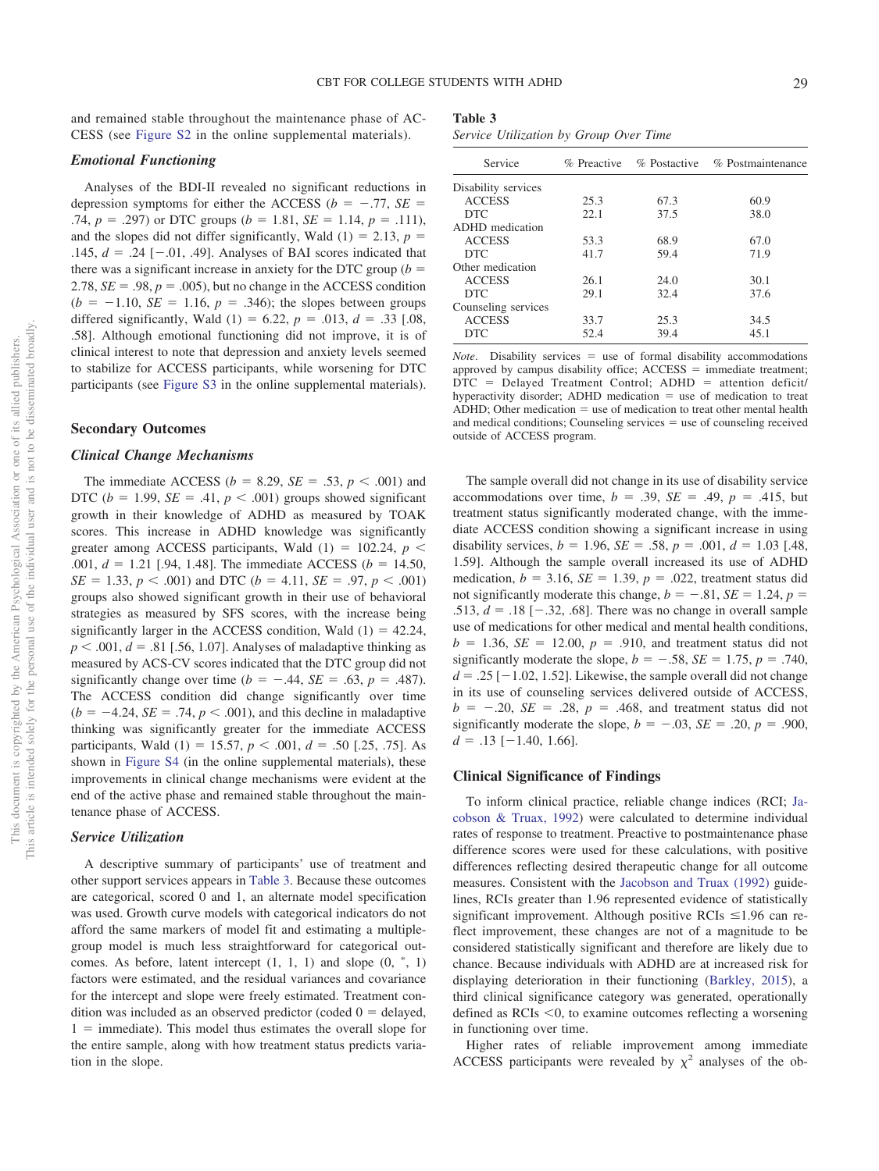and remained stable throughout the maintenance phase of AC-CESS (see [Figure S2](https://doi.org/10.1037/ccp0000553.supp) in the online supplemental materials).

# *Emotional Functioning*

Analyses of the BDI-II revealed no significant reductions in depression symptoms for either the ACCESS ( $b = -.77$ , *SE* = .74,  $p = .297$ ) or DTC groups ( $b = 1.81$ ,  $SE = 1.14$ ,  $p = .111$ ), and the slopes did not differ significantly, Wald  $(1) = 2.13$ ,  $p =$ .145,  $d = .24$  [ $-.01, .49$ ]. Analyses of BAI scores indicated that there was a significant increase in anxiety for the DTC group ( $b =$ 2.78,  $SE = .98$ ,  $p = .005$ ), but no change in the ACCESS condition  $(b = -1.10, SE = 1.16, p = .346)$ ; the slopes between groups differed significantly, Wald  $(1) = 6.22$ ,  $p = .013$ ,  $d = .33$  [.08, .58]. Although emotional functioning did not improve, it is of clinical interest to note that depression and anxiety levels seemed to stabilize for ACCESS participants, while worsening for DTC participants (see [Figure S3](https://doi.org/10.1037/ccp0000553.supp) in the online supplemental materials).

# **Secondary Outcomes**

#### *Clinical Change Mechanisms*

The immediate ACCESS ( $b = 8.29$ ,  $SE = .53$ ,  $p < .001$ ) and DTC ( $b = 1.99$ ,  $SE = .41$ ,  $p < .001$ ) groups showed significant growth in their knowledge of ADHD as measured by TOAK scores. This increase in ADHD knowledge was significantly greater among ACCESS participants, Wald  $(1) = 102.24$ ,  $p <$ .001,  $d = 1.21$  [.94, 1.48]. The immediate ACCESS ( $b = 14.50$ ,  $SE = 1.33, p < .001$  and DTC (*b* = 4.11, *SE* = .97, *p* < .001) groups also showed significant growth in their use of behavioral strategies as measured by SFS scores, with the increase being significantly larger in the ACCESS condition, Wald  $(1) = 42.24$ ,  $p < .001$ ,  $d = .81$  [.56, 1.07]. Analyses of maladaptive thinking as measured by ACS-CV scores indicated that the DTC group did not significantly change over time ( $b = -.44$ ,  $SE = .63$ ,  $p = .487$ ). The ACCESS condition did change significantly over time  $(b = -4.24, SE = .74, p < .001)$ , and this decline in maladaptive thinking was significantly greater for the immediate ACCESS participants, Wald  $(1) = 15.57$ ,  $p < .001$ ,  $d = .50$  [.25, .75]. As shown in [Figure S4](https://doi.org/10.1037/ccp0000553.supp) (in the online supplemental materials), these improvements in clinical change mechanisms were evident at the end of the active phase and remained stable throughout the maintenance phase of ACCESS.

# *Service Utilization*

A descriptive summary of participants' use of treatment and other support services appears in [Table 3.](#page-8-0) Because these outcomes are categorical, scored 0 and 1, an alternate model specification was used. Growth curve models with categorical indicators do not afford the same markers of model fit and estimating a multiplegroup model is much less straightforward for categorical outcomes. As before, latent intercept  $(1, 1, 1)$  and slope  $(0, \dot{ }^*, 1)$ factors were estimated, and the residual variances and covariance for the intercept and slope were freely estimated. Treatment condition was included as an observed predictor (coded  $0 =$  delayed,  $1 =$  immediate). This model thus estimates the overall slope for the entire sample, along with how treatment status predicts variation in the slope.

<span id="page-8-0"></span>

| Table 3 |                                        |  |  |
|---------|----------------------------------------|--|--|
|         | Service Utilization by Group Over Time |  |  |

| Service             |      |      | % Preactive % Postactive % Postmaintenance |
|---------------------|------|------|--------------------------------------------|
| Disability services |      |      |                                            |
| <b>ACCESS</b>       | 25.3 | 67.3 | 60.9                                       |
| DTC.                | 22.1 | 37.5 | 38.0                                       |
| ADHD medication     |      |      |                                            |
| <b>ACCESS</b>       | 53.3 | 68.9 | 67.0                                       |
| <b>DTC</b>          | 41.7 | 59.4 | 71.9                                       |
| Other medication    |      |      |                                            |
| <b>ACCESS</b>       | 26.1 | 24.0 | 30.1                                       |
| DTC.                | 29.1 | 32.4 | 37.6                                       |
| Counseling services |      |      |                                            |
| <b>ACCESS</b>       | 33.7 | 25.3 | 34.5                                       |
| <b>DTC</b>          | 52.4 | 39.4 | 45.1                                       |

*Note*. Disability services  $=$  use of formal disability accommodations approved by campus disability office;  $ACCESS =$  immediate treatment;  $DTC$  = Delayed Treatment Control;  $ADHD$  = attention deficit/ hyperactivity disorder; ADHD medication  $=$  use of medication to treat ADHD; Other medication  $=$  use of medication to treat other mental health and medical conditions; Counseling services  $=$  use of counseling received outside of ACCESS program.

The sample overall did not change in its use of disability service accommodations over time,  $b = .39$ ,  $SE = .49$ ,  $p = .415$ , but treatment status significantly moderated change, with the immediate ACCESS condition showing a significant increase in using disability services,  $b = 1.96$ ,  $SE = .58$ ,  $p = .001$ ,  $d = 1.03$  [.48, 1.59]. Although the sample overall increased its use of ADHD medication,  $b = 3.16$ ,  $SE = 1.39$ ,  $p = .022$ , treatment status did not significantly moderate this change,  $b = -.81$ ,  $SE = 1.24$ ,  $p =$ .513,  $d = .18 [-.32, .68]$ . There was no change in overall sample use of medications for other medical and mental health conditions,  $b = 1.36$ ,  $SE = 12.00$ ,  $p = .910$ , and treatment status did not significantly moderate the slope,  $b = -.58$ ,  $SE = 1.75$ ,  $p = .740$ ,  $d = .25$  [-1.02, 1.52]. Likewise, the sample overall did not change in its use of counseling services delivered outside of ACCESS,  $b = -.20$ ,  $SE = .28$ ,  $p = .468$ , and treatment status did not significantly moderate the slope,  $b = -.03$ ,  $SE = .20$ ,  $p = .900$ ,  $d = .13$  [-1.40, 1.66].

## **Clinical Significance of Findings**

To inform clinical practice, reliable change indices (RCI; [Ja](#page-11-0)[cobson & Truax, 1992\)](#page-11-0) were calculated to determine individual rates of response to treatment. Preactive to postmaintenance phase difference scores were used for these calculations, with positive differences reflecting desired therapeutic change for all outcome measures. Consistent with the [Jacobson and Truax \(1992\)](#page-11-0) guidelines, RCIs greater than 1.96 represented evidence of statistically significant improvement. Although positive RCIs  $\leq 1.96$  can reflect improvement, these changes are not of a magnitude to be considered statistically significant and therefore are likely due to chance. Because individuals with ADHD are at increased risk for displaying deterioration in their functioning [\(Barkley, 2015\)](#page-11-1), a third clinical significance category was generated, operationally defined as RCIs <0, to examine outcomes reflecting a worsening in functioning over time.

Higher rates of reliable improvement among immediate ACCESS participants were revealed by  $\chi^2$  analyses of the ob-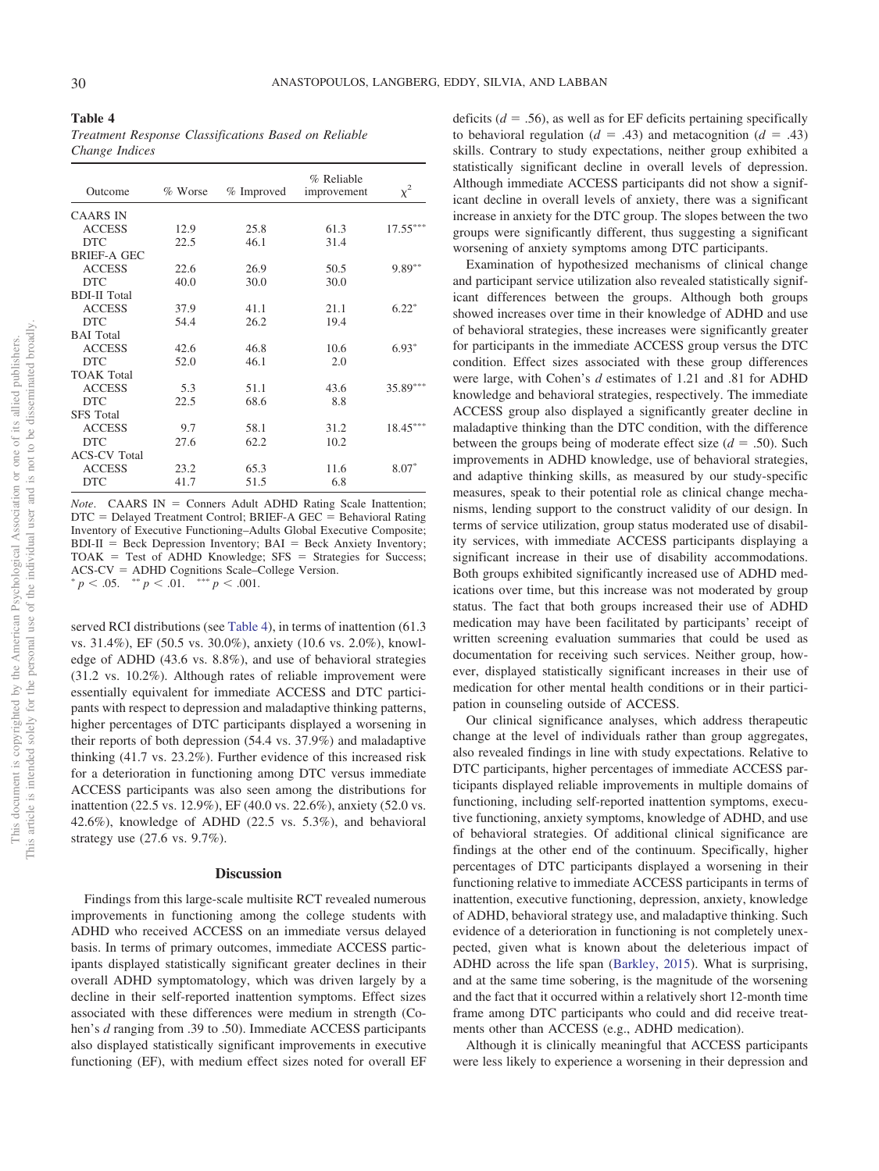<span id="page-9-0"></span>**Table 4** *Treatment Response Classifications Based on Reliable Change Indices*

| Outcome             | % Worse | % Improved | % Reliable<br>improvement | $\chi^2$   |
|---------------------|---------|------------|---------------------------|------------|
| <b>CAARS IN</b>     |         |            |                           |            |
| <b>ACCESS</b>       | 12.9    | 25.8       | 61.3                      | $17.55***$ |
| <b>DTC</b>          | 22.5    | 46.1       | 31.4                      |            |
| <b>BRIEF-A GEC</b>  |         |            |                           |            |
| <b>ACCESS</b>       | 22.6    | 26.9       | 50.5                      | $9.89***$  |
| <b>DTC</b>          | 40.0    | 30.0       | 30.0                      |            |
| <b>BDI-II</b> Total |         |            |                           |            |
| <b>ACCESS</b>       | 37.9    | 41.1       | 21.1                      | $6.22*$    |
| <b>DTC</b>          | 54.4    | 26.2       | 19.4                      |            |
| <b>BAI</b> Total    |         |            |                           |            |
| <b>ACCESS</b>       | 42.6    | 46.8       | 10.6                      | $6.93*$    |
| <b>DTC</b>          | 52.0    | 46.1       | 2.0                       |            |
| <b>TOAK Total</b>   |         |            |                           |            |
| <b>ACCESS</b>       | 5.3     | 51.1       | 43.6                      | 35.89***   |
| <b>DTC</b>          | 22.5    | 68.6       | 8.8                       |            |
| <b>SFS</b> Total    |         |            |                           |            |
| <b>ACCESS</b>       | 9.7     | 58.1       | 31.2                      | $18.45***$ |
| <b>DTC</b>          | 27.6    | 62.2       | 10.2                      |            |
| <b>ACS-CV Total</b> |         |            |                           |            |
| <b>ACCESS</b>       | 23.2    | 65.3       | 11.6                      | $8.07*$    |
| <b>DTC</b>          | 41.7    | 51.5       | 6.8                       |            |

*Note.* CAARS IN = Conners Adult ADHD Rating Scale Inattention;  $DTC =$  Delayed Treatment Control; BRIEF-A GEC = Behavioral Rating Inventory of Executive Functioning–Adults Global Executive Composite;  $BDI-II = Beck Depression Inventory; BAL = Beck Anxiety Inventory;$  $TOAK$  = Test of ADHD Knowledge;  $SFS$  = Strategies for Success; ACS-CV = ADHD Cognitions Scale–College Version.<br>  $p < .05.$   $\longrightarrow p < .01.$   $\longrightarrow p < .001.$ 

served RCI distributions (see [Table 4\)](#page-9-0), in terms of inattention (61.3 vs. 31.4%), EF (50.5 vs. 30.0%), anxiety (10.6 vs. 2.0%), knowledge of ADHD (43.6 vs. 8.8%), and use of behavioral strategies (31.2 vs. 10.2%). Although rates of reliable improvement were essentially equivalent for immediate ACCESS and DTC participants with respect to depression and maladaptive thinking patterns, higher percentages of DTC participants displayed a worsening in their reports of both depression (54.4 vs. 37.9%) and maladaptive thinking (41.7 vs. 23.2%). Further evidence of this increased risk for a deterioration in functioning among DTC versus immediate ACCESS participants was also seen among the distributions for inattention (22.5 vs. 12.9%), EF (40.0 vs. 22.6%), anxiety (52.0 vs. 42.6%), knowledge of ADHD (22.5 vs. 5.3%), and behavioral strategy use (27.6 vs. 9.7%).

#### **Discussion**

Findings from this large-scale multisite RCT revealed numerous improvements in functioning among the college students with ADHD who received ACCESS on an immediate versus delayed basis. In terms of primary outcomes, immediate ACCESS participants displayed statistically significant greater declines in their overall ADHD symptomatology, which was driven largely by a decline in their self-reported inattention symptoms. Effect sizes associated with these differences were medium in strength (Cohen's *d* ranging from .39 to .50). Immediate ACCESS participants also displayed statistically significant improvements in executive functioning (EF), with medium effect sizes noted for overall EF deficits  $(d = .56)$ , as well as for EF deficits pertaining specifically to behavioral regulation ( $d = .43$ ) and metacognition ( $d = .43$ ) skills. Contrary to study expectations, neither group exhibited a statistically significant decline in overall levels of depression. Although immediate ACCESS participants did not show a significant decline in overall levels of anxiety, there was a significant increase in anxiety for the DTC group. The slopes between the two groups were significantly different, thus suggesting a significant worsening of anxiety symptoms among DTC participants.

Examination of hypothesized mechanisms of clinical change and participant service utilization also revealed statistically significant differences between the groups. Although both groups showed increases over time in their knowledge of ADHD and use of behavioral strategies, these increases were significantly greater for participants in the immediate ACCESS group versus the DTC condition. Effect sizes associated with these group differences were large, with Cohen's *d* estimates of 1.21 and .81 for ADHD knowledge and behavioral strategies, respectively. The immediate ACCESS group also displayed a significantly greater decline in maladaptive thinking than the DTC condition, with the difference between the groups being of moderate effect size  $(d = .50)$ . Such improvements in ADHD knowledge, use of behavioral strategies, and adaptive thinking skills, as measured by our study-specific measures, speak to their potential role as clinical change mechanisms, lending support to the construct validity of our design. In terms of service utilization, group status moderated use of disability services, with immediate ACCESS participants displaying a significant increase in their use of disability accommodations. Both groups exhibited significantly increased use of ADHD medications over time, but this increase was not moderated by group status. The fact that both groups increased their use of ADHD medication may have been facilitated by participants' receipt of written screening evaluation summaries that could be used as documentation for receiving such services. Neither group, however, displayed statistically significant increases in their use of medication for other mental health conditions or in their participation in counseling outside of ACCESS.

Our clinical significance analyses, which address therapeutic change at the level of individuals rather than group aggregates, also revealed findings in line with study expectations. Relative to DTC participants, higher percentages of immediate ACCESS participants displayed reliable improvements in multiple domains of functioning, including self-reported inattention symptoms, executive functioning, anxiety symptoms, knowledge of ADHD, and use of behavioral strategies. Of additional clinical significance are findings at the other end of the continuum. Specifically, higher percentages of DTC participants displayed a worsening in their functioning relative to immediate ACCESS participants in terms of inattention, executive functioning, depression, anxiety, knowledge of ADHD, behavioral strategy use, and maladaptive thinking. Such evidence of a deterioration in functioning is not completely unexpected, given what is known about the deleterious impact of ADHD across the life span [\(Barkley, 2015\)](#page-11-1). What is surprising, and at the same time sobering, is the magnitude of the worsening and the fact that it occurred within a relatively short 12-month time frame among DTC participants who could and did receive treatments other than ACCESS (e.g., ADHD medication).

Although it is clinically meaningful that ACCESS participants were less likely to experience a worsening in their depression and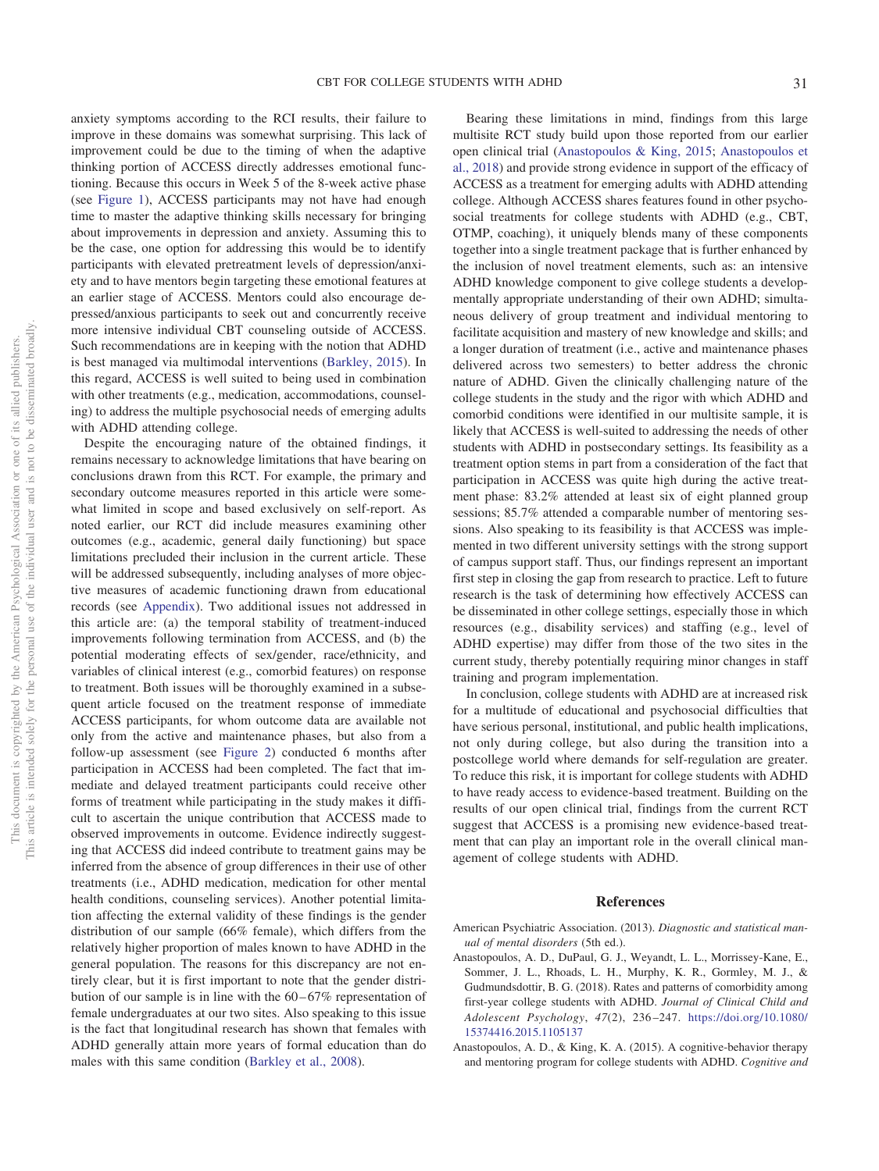anxiety symptoms according to the RCI results, their failure to improve in these domains was somewhat surprising. This lack of improvement could be due to the timing of when the adaptive thinking portion of ACCESS directly addresses emotional functioning. Because this occurs in Week 5 of the 8-week active phase (see [Figure 1\)](#page-2-0), ACCESS participants may not have had enough time to master the adaptive thinking skills necessary for bringing about improvements in depression and anxiety. Assuming this to be the case, one option for addressing this would be to identify participants with elevated pretreatment levels of depression/anxiety and to have mentors begin targeting these emotional features at an earlier stage of ACCESS. Mentors could also encourage depressed/anxious participants to seek out and concurrently receive more intensive individual CBT counseling outside of ACCESS. Such recommendations are in keeping with the notion that ADHD is best managed via multimodal interventions [\(Barkley, 2015\)](#page-11-1). In this regard, ACCESS is well suited to being used in combination with other treatments (e.g., medication, accommodations, counseling) to address the multiple psychosocial needs of emerging adults with ADHD attending college.

Despite the encouraging nature of the obtained findings, it remains necessary to acknowledge limitations that have bearing on conclusions drawn from this RCT. For example, the primary and secondary outcome measures reported in this article were somewhat limited in scope and based exclusively on self-report. As noted earlier, our RCT did include measures examining other outcomes (e.g., academic, general daily functioning) but space limitations precluded their inclusion in the current article. These will be addressed subsequently, including analyses of more objective measures of academic functioning drawn from educational records (see [Appendix\)](#page-12-5). Two additional issues not addressed in this article are: (a) the temporal stability of treatment-induced improvements following termination from ACCESS, and (b) the potential moderating effects of sex/gender, race/ethnicity, and variables of clinical interest (e.g., comorbid features) on response to treatment. Both issues will be thoroughly examined in a subsequent article focused on the treatment response of immediate ACCESS participants, for whom outcome data are available not only from the active and maintenance phases, but also from a follow-up assessment (see [Figure 2\)](#page-4-0) conducted 6 months after participation in ACCESS had been completed. The fact that immediate and delayed treatment participants could receive other forms of treatment while participating in the study makes it difficult to ascertain the unique contribution that ACCESS made to observed improvements in outcome. Evidence indirectly suggesting that ACCESS did indeed contribute to treatment gains may be inferred from the absence of group differences in their use of other treatments (i.e., ADHD medication, medication for other mental health conditions, counseling services). Another potential limitation affecting the external validity of these findings is the gender distribution of our sample (66% female), which differs from the relatively higher proportion of males known to have ADHD in the general population. The reasons for this discrepancy are not entirely clear, but it is first important to note that the gender distribution of our sample is in line with the  $60 - 67\%$  representation of female undergraduates at our two sites. Also speaking to this issue is the fact that longitudinal research has shown that females with ADHD generally attain more years of formal education than do males with this same condition [\(Barkley et al., 2008\)](#page-11-8).

Bearing these limitations in mind, findings from this large multisite RCT study build upon those reported from our earlier open clinical trial [\(Anastopoulos & King, 2015;](#page-10-2) [Anastopoulos et](#page-10-1) [al., 2018\)](#page-10-1) and provide strong evidence in support of the efficacy of ACCESS as a treatment for emerging adults with ADHD attending college. Although ACCESS shares features found in other psychosocial treatments for college students with ADHD (e.g., CBT, OTMP, coaching), it uniquely blends many of these components together into a single treatment package that is further enhanced by the inclusion of novel treatment elements, such as: an intensive ADHD knowledge component to give college students a developmentally appropriate understanding of their own ADHD; simultaneous delivery of group treatment and individual mentoring to facilitate acquisition and mastery of new knowledge and skills; and a longer duration of treatment (i.e., active and maintenance phases delivered across two semesters) to better address the chronic nature of ADHD. Given the clinically challenging nature of the college students in the study and the rigor with which ADHD and comorbid conditions were identified in our multisite sample, it is likely that ACCESS is well-suited to addressing the needs of other students with ADHD in postsecondary settings. Its feasibility as a treatment option stems in part from a consideration of the fact that participation in ACCESS was quite high during the active treatment phase: 83.2% attended at least six of eight planned group sessions; 85.7% attended a comparable number of mentoring sessions. Also speaking to its feasibility is that ACCESS was implemented in two different university settings with the strong support of campus support staff. Thus, our findings represent an important first step in closing the gap from research to practice. Left to future research is the task of determining how effectively ACCESS can be disseminated in other college settings, especially those in which resources (e.g., disability services) and staffing (e.g., level of ADHD expertise) may differ from those of the two sites in the current study, thereby potentially requiring minor changes in staff training and program implementation.

In conclusion, college students with ADHD are at increased risk for a multitude of educational and psychosocial difficulties that have serious personal, institutional, and public health implications, not only during college, but also during the transition into a postcollege world where demands for self-regulation are greater. To reduce this risk, it is important for college students with ADHD to have ready access to evidence-based treatment. Building on the results of our open clinical trial, findings from the current RCT suggest that ACCESS is a promising new evidence-based treatment that can play an important role in the overall clinical management of college students with ADHD.

# **References**

- <span id="page-10-0"></span>American Psychiatric Association. (2013). *Diagnostic and statistical manual of mental disorders* (5th ed.).
- <span id="page-10-1"></span>Anastopoulos, A. D., DuPaul, G. J., Weyandt, L. L., Morrissey-Kane, E., Sommer, J. L., Rhoads, L. H., Murphy, K. R., Gormley, M. J., & Gudmundsdottir, B. G. (2018). Rates and patterns of comorbidity among first-year college students with ADHD. *Journal of Clinical Child and Adolescent Psychology*, *47*(2), 236 –247. [https://doi.org/10.1080/](https://doi.org/10.1080/15374416.2015.1105137) [15374416.2015.1105137](https://doi.org/10.1080/15374416.2015.1105137)
- <span id="page-10-2"></span>Anastopoulos, A. D., & King, K. A. (2015). A cognitive-behavior therapy and mentoring program for college students with ADHD. *Cognitive and*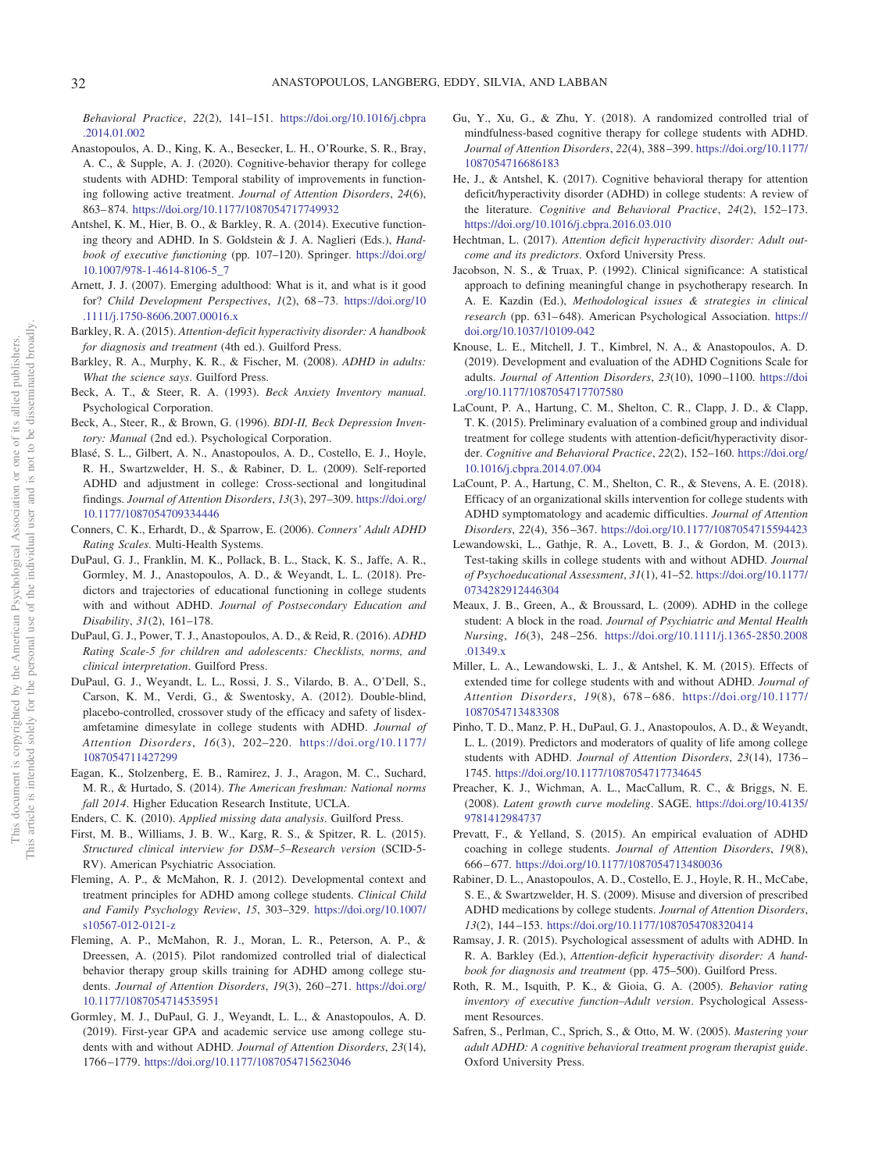*Behavioral Practice*, *22*(2), 141–151. [https://doi.org/10.1016/j.cbpra](https://doi.org/10.1016/j.cbpra.2014.01.002) [.2014.01.002](https://doi.org/10.1016/j.cbpra.2014.01.002)

- <span id="page-11-23"></span>Anastopoulos, A. D., King, K. A., Besecker, L. H., O'Rourke, S. R., Bray, A. C., & Supple, A. J. (2020). Cognitive-behavior therapy for college students with ADHD: Temporal stability of improvements in functioning following active treatment. *Journal of Attention Disorders*, *24*(6), 863– 874. <https://doi.org/10.1177/1087054717749932>
- <span id="page-11-14"></span>Antshel, K. M., Hier, B. O., & Barkley, R. A. (2014). Executive functioning theory and ADHD. In S. Goldstein & J. A. Naglieri (Eds.), *Handbook of executive functioning* (pp. 107–120). Springer. [https://doi.org/](https://doi.org/10.1007/978-1-4614-8106-5_7) [10.1007/978-1-4614-8106-5\\_7](https://doi.org/10.1007/978-1-4614-8106-5_7)
- <span id="page-11-2"></span>Arnett, J. J. (2007). Emerging adulthood: What is it, and what is it good for? *Child Development Perspectives*, *1*(2), 68 –73. [https://doi.org/10](https://doi.org/10.1111/j.1750-8606.2007.00016.x) [.1111/j.1750-8606.2007.00016.x](https://doi.org/10.1111/j.1750-8606.2007.00016.x)
- <span id="page-11-1"></span>Barkley, R. A. (2015). *Attention-deficit hyperactivity disorder: A handbook for diagnosis and treatment* (4th ed.). Guilford Press.
- <span id="page-11-8"></span>Barkley, R. A., Murphy, K. R., & Fischer, M. (2008). *ADHD in adults: What the science says*. Guilford Press.
- <span id="page-11-31"></span>Beck, A. T., & Steer, R. A. (1993). *Beck Anxiety Inventory manual*. Psychological Corporation.
- <span id="page-11-30"></span>Beck, A., Steer, R., & Brown, G. (1996). *BDI-II, Beck Depression Inventory: Manual* (2nd ed.). Psychological Corporation.
- <span id="page-11-6"></span>Blasé, S. L., Gilbert, A. N., Anastopoulos, A. D., Costello, E. J., Hoyle, R. H., Swartzwelder, H. S., & Rabiner, D. L. (2009). Self-reported ADHD and adjustment in college: Cross-sectional and longitudinal findings. *Journal of Attention Disorders*, *13*(3), 297–309. [https://doi.org/](https://doi.org/10.1177/1087054709334446) [10.1177/1087054709334446](https://doi.org/10.1177/1087054709334446)
- <span id="page-11-28"></span>Conners, C. K., Erhardt, D., & Sparrow, E. (2006). *Conners' Adult ADHD Rating Scales*. Multi-Health Systems.
- <span id="page-11-4"></span>DuPaul, G. J., Franklin, M. K., Pollack, B. L., Stack, K. S., Jaffe, A. R., Gormley, M. J., Anastopoulos, A. D., & Weyandt, L. L. (2018). Predictors and trajectories of educational functioning in college students with and without ADHD. *Journal of Postsecondary Education and Disability*, *31*(2), 161–178.
- <span id="page-11-26"></span>DuPaul, G. J., Power, T. J., Anastopoulos, A. D., & Reid, R. (2016). *ADHD Rating Scale-5 for children and adolescents: Checklists, norms, and clinical interpretation*. Guilford Press.
- <span id="page-11-15"></span>DuPaul, G. J., Weyandt, L. L., Rossi, J. S., Vilardo, B. A., O'Dell, S., Carson, K. M., Verdi, G., & Swentosky, A. (2012). Double-blind, placebo-controlled, crossover study of the efficacy and safety of lisdexamfetamine dimesylate in college students with ADHD. *Journal of Attention Disorders*, *16*(3), 202–220. [https://doi.org/10.1177/](https://doi.org/10.1177/1087054711427299) [1087054711427299](https://doi.org/10.1177/1087054711427299)
- <span id="page-11-3"></span>Eagan, K., Stolzenberg, E. B., Ramirez, J. J., Aragon, M. C., Suchard, M. R., & Hurtado, S. (2014). *The American freshman: National norms fall 2014*. Higher Education Research Institute, UCLA.
- <span id="page-11-33"></span><span id="page-11-27"></span>Enders, C. K. (2010). *Applied missing data analysis*. Guilford Press.
- First, M. B., Williams, J. B. W., Karg, R. S., & Spitzer, R. L. (2015). *Structured clinical interview for DSM–5–Research version* (SCID-5- RV). American Psychiatric Association.
- <span id="page-11-10"></span>Fleming, A. P., & McMahon, R. J. (2012). Developmental context and treatment principles for ADHD among college students. *Clinical Child and Family Psychology Review*, *15*, 303–329. [https://doi.org/10.1007/](https://doi.org/10.1007/s10567-012-0121-z) [s10567-012-0121-z](https://doi.org/10.1007/s10567-012-0121-z)
- <span id="page-11-20"></span>Fleming, A. P., McMahon, R. J., Moran, L. R., Peterson, A. P., & Dreessen, A. (2015). Pilot randomized controlled trial of dialectical behavior therapy group skills training for ADHD among college students. *Journal of Attention Disorders*, 19(3), 260-271. [https://doi.org/](https://doi.org/10.1177/1087054714535951) [10.1177/1087054714535951](https://doi.org/10.1177/1087054714535951)
- <span id="page-11-5"></span>Gormley, M. J., DuPaul, G. J., Weyandt, L. L., & Anastopoulos, A. D. (2019). First-year GPA and academic service use among college students with and without ADHD. *Journal of Attention Disorders*, *23*(14), 1766 –1779. <https://doi.org/10.1177/1087054715623046>
- <span id="page-11-21"></span>Gu, Y., Xu, G., & Zhu, Y. (2018). A randomized controlled trial of mindfulness-based cognitive therapy for college students with ADHD. *Journal of Attention Disorders*, *22*(4), 388 –399. [https://doi.org/10.1177/](https://doi.org/10.1177/1087054716686183) [1087054716686183](https://doi.org/10.1177/1087054716686183)
- <span id="page-11-17"></span>He, J., & Antshel, K. (2017). Cognitive behavioral therapy for attention deficit/hyperactivity disorder (ADHD) in college students: A review of the literature. *Cognitive and Behavioral Practice*, *24*(2), 152–173. <https://doi.org/10.1016/j.cbpra.2016.03.010>
- <span id="page-11-9"></span>Hechtman, L. (2017). *Attention deficit hyperactivity disorder: Adult outcome and its predictors*. Oxford University Press.
- <span id="page-11-0"></span>Jacobson, N. S., & Truax, P. (1992). Clinical significance: A statistical approach to defining meaningful change in psychotherapy research. In A. E. Kazdin (Ed.), *Methodological issues & strategies in clinical* research (pp. 631-648). American Psychological Association. [https://](https://doi.org/10.1037/10109-042) [doi.org/10.1037/10109-042](https://doi.org/10.1037/10109-042)
- <span id="page-11-32"></span>Knouse, L. E., Mitchell, J. T., Kimbrel, N. A., & Anastopoulos, A. D. (2019). Development and evaluation of the ADHD Cognitions Scale for adults. *Journal of Attention Disorders*, *23*(10), 1090 –1100. [https://doi](https://doi.org/10.1177/1087054717707580) [.org/10.1177/1087054717707580](https://doi.org/10.1177/1087054717707580)
- <span id="page-11-18"></span>LaCount, P. A., Hartung, C. M., Shelton, C. R., Clapp, J. D., & Clapp, T. K. (2015). Preliminary evaluation of a combined group and individual treatment for college students with attention-deficit/hyperactivity disorder. *Cognitive and Behavioral Practice*, *22*(2), 152–160. [https://doi.org/](https://doi.org/10.1016/j.cbpra.2014.07.004) [10.1016/j.cbpra.2014.07.004](https://doi.org/10.1016/j.cbpra.2014.07.004)
- <span id="page-11-22"></span>LaCount, P. A., Hartung, C. M., Shelton, C. R., & Stevens, A. E. (2018). Efficacy of an organizational skills intervention for college students with ADHD symptomatology and academic difficulties. *Journal of Attention Disorders*, *22*(4), 356 –367. <https://doi.org/10.1177/1087054715594423>
- <span id="page-11-12"></span>Lewandowski, L., Gathje, R. A., Lovett, B. J., & Gordon, M. (2013). Test-taking skills in college students with and without ADHD. *Journal of Psychoeducational Assessment*, *31*(1), 41–52. [https://doi.org/10.1177/](https://doi.org/10.1177/0734282912446304) [0734282912446304](https://doi.org/10.1177/0734282912446304)
- <span id="page-11-11"></span>Meaux, J. B., Green, A., & Broussard, L. (2009). ADHD in the college student: A block in the road. *Journal of Psychiatric and Mental Health Nursing*, *16*(3), 248 –256. [https://doi.org/10.1111/j.1365-2850.2008](https://doi.org/10.1111/j.1365-2850.2008.01349.x) [.01349.x](https://doi.org/10.1111/j.1365-2850.2008.01349.x)
- <span id="page-11-13"></span>Miller, L. A., Lewandowski, L. J., & Antshel, K. M. (2015). Effects of extended time for college students with and without ADHD. *Journal of Attention Disorders*, *19*(8), 678 – 686. [https://doi.org/10.1177/](https://doi.org/10.1177/1087054713483308) [1087054713483308](https://doi.org/10.1177/1087054713483308)
- <span id="page-11-7"></span>Pinho, T. D., Manz, P. H., DuPaul, G. J., Anastopoulos, A. D., & Weyandt, L. L. (2019). Predictors and moderators of quality of life among college students with ADHD. *Journal of Attention Disorders*, *23*(14), 1736 – 1745. <https://doi.org/10.1177/1087054717734645>
- <span id="page-11-34"></span>Preacher, K. J., Wichman, A. L., MacCallum, R. C., & Briggs, N. E. (2008). *Latent growth curve modeling*. SAGE. [https://doi.org/10.4135/](https://doi.org/10.4135/9781412984737) [9781412984737](https://doi.org/10.4135/9781412984737)
- <span id="page-11-19"></span>Prevatt, F., & Yelland, S. (2015). An empirical evaluation of ADHD coaching in college students. *Journal of Attention Disorders*, *19*(8), 666 – 677. <https://doi.org/10.1177/1087054713480036>
- <span id="page-11-16"></span>Rabiner, D. L., Anastopoulos, A. D., Costello, E. J., Hoyle, R. H., McCabe, S. E., & Swartzwelder, H. S. (2009). Misuse and diversion of prescribed ADHD medications by college students. *Journal of Attention Disorders*, *13*(2), 144 –153. <https://doi.org/10.1177/1087054708320414>
- <span id="page-11-25"></span>Ramsay, J. R. (2015). Psychological assessment of adults with ADHD. In R. A. Barkley (Ed.), *Attention-deficit hyperactivity disorder: A handbook for diagnosis and treatment* (pp. 475–500). Guilford Press.
- <span id="page-11-29"></span>Roth, R. M., Isquith, P. K., & Gioia, G. A. (2005). *Behavior rating inventory of executive function–Adult version*. Psychological Assessment Resources.
- <span id="page-11-24"></span>Safren, S., Perlman, C., Sprich, S., & Otto, M. W. (2005). *Mastering your adult ADHD: A cognitive behavioral treatment program therapist guide*. Oxford University Press.